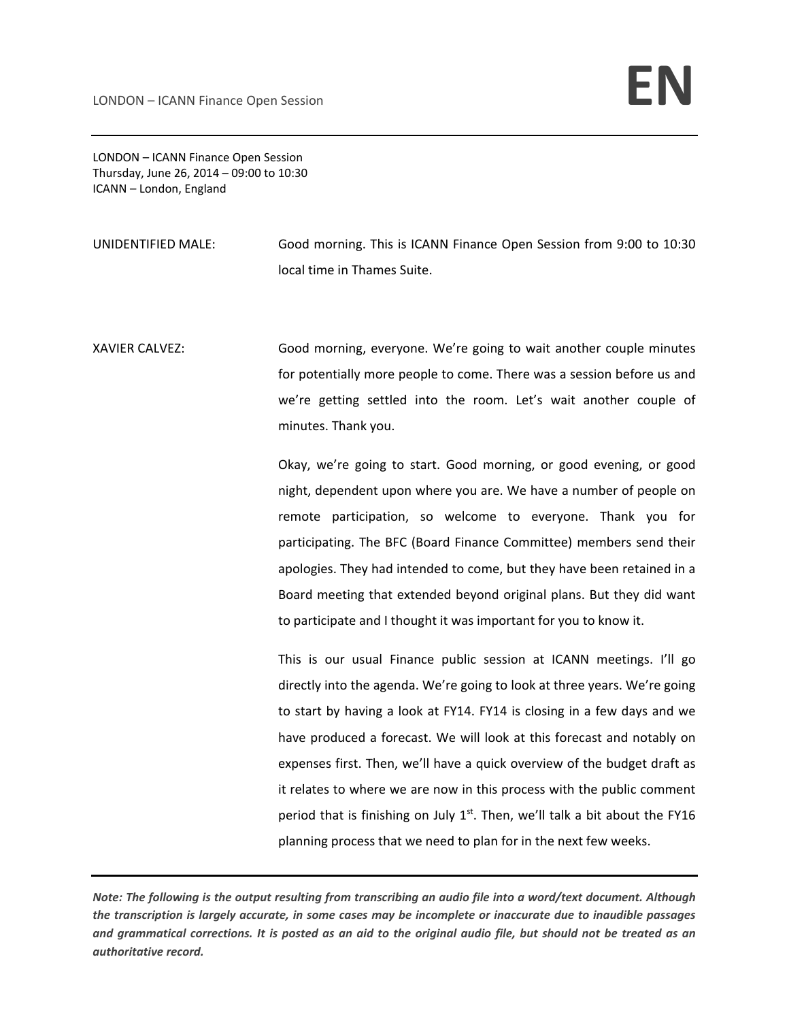LONDON – ICANN Finance Open Session Thursday, June 26, 2014 – 09:00 to 10:30 ICANN – London, England

UNIDENTIFIED MALE: Good morning. This is ICANN Finance Open Session from 9:00 to 10:30 local time in Thames Suite.

XAVIER CALVEZ: Good morning, everyone. We're going to wait another couple minutes for potentially more people to come. There was a session before us and we're getting settled into the room. Let's wait another couple of minutes. Thank you.

> Okay, we're going to start. Good morning, or good evening, or good night, dependent upon where you are. We have a number of people on remote participation, so welcome to everyone. Thank you for participating. The BFC (Board Finance Committee) members send their apologies. They had intended to come, but they have been retained in a Board meeting that extended beyond original plans. But they did want to participate and I thought it was important for you to know it.

> This is our usual Finance public session at ICANN meetings. I'll go directly into the agenda. We're going to look at three years. We're going to start by having a look at FY14. FY14 is closing in a few days and we have produced a forecast. We will look at this forecast and notably on expenses first. Then, we'll have a quick overview of the budget draft as it relates to where we are now in this process with the public comment period that is finishing on July  $1^{st}$ . Then, we'll talk a bit about the FY16 planning process that we need to plan for in the next few weeks.

Note: The following is the output resulting from transcribing an audio file into a word/text document. Although the transcription is largely accurate, in some cases may be incomplete or inaccurate due to inaudible passages and grammatical corrections. It is posted as an aid to the original audio file, but should not be treated as an *authoritative record.*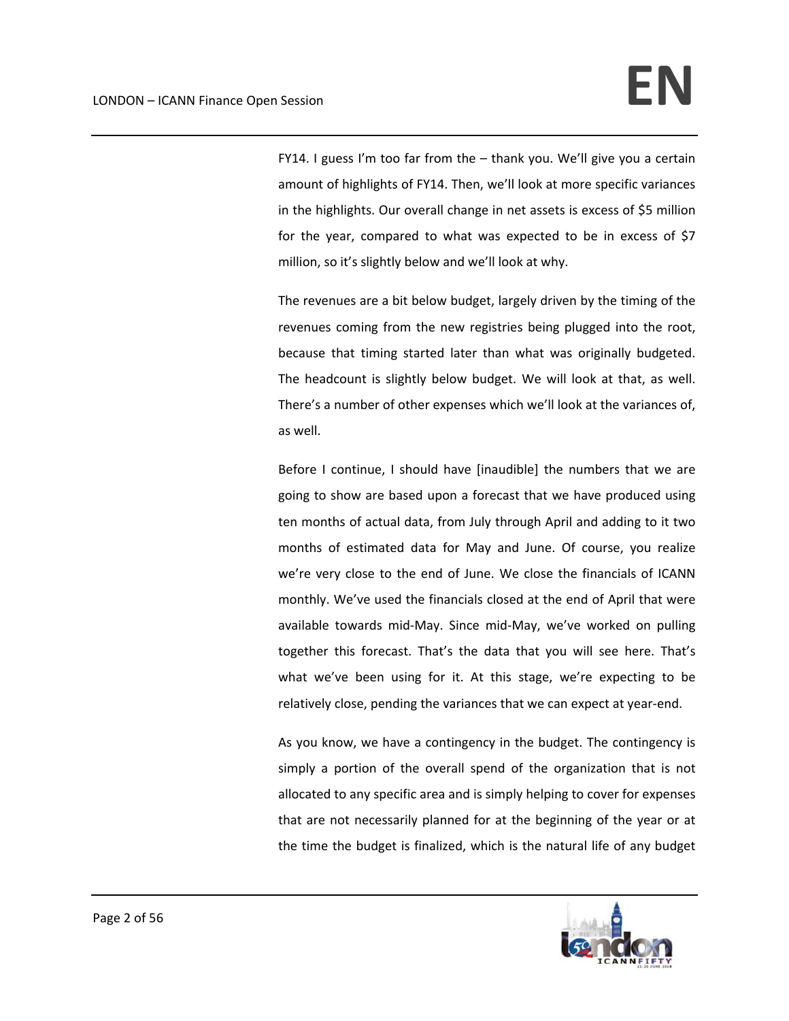FY14. I guess I'm too far from the – thank you. We'll give you a certain amount of highlights of FY14. Then, we'll look at more specific variances in the highlights. Our overall change in net assets is excess of \$5 million for the year, compared to what was expected to be in excess of \$7 million, so it's slightly below and we'll look at why.

The revenues are a bit below budget, largely driven by the timing of the revenues coming from the new registries being plugged into the root, because that timing started later than what was originally budgeted. The headcount is slightly below budget. We will look at that, as well. There's a number of other expenses which we'll look at the variances of, as well.

Before I continue, I should have [inaudible] the numbers that we are going to show are based upon a forecast that we have produced using ten months of actual data, from July through April and adding to it two months of estimated data for May and June. Of course, you realize we're very close to the end of June. We close the financials of ICANN monthly. We've used the financials closed at the end of April that were available towards mid‐May. Since mid‐May, we've worked on pulling together this forecast. That's the data that you will see here. That's what we've been using for it. At this stage, we're expecting to be relatively close, pending the variances that we can expect at year‐end.

As you know, we have a contingency in the budget. The contingency is simply a portion of the overall spend of the organization that is not allocated to any specific area and is simply helping to cover for expenses that are not necessarily planned for at the beginning of the year or at the time the budget is finalized, which is the natural life of any budget

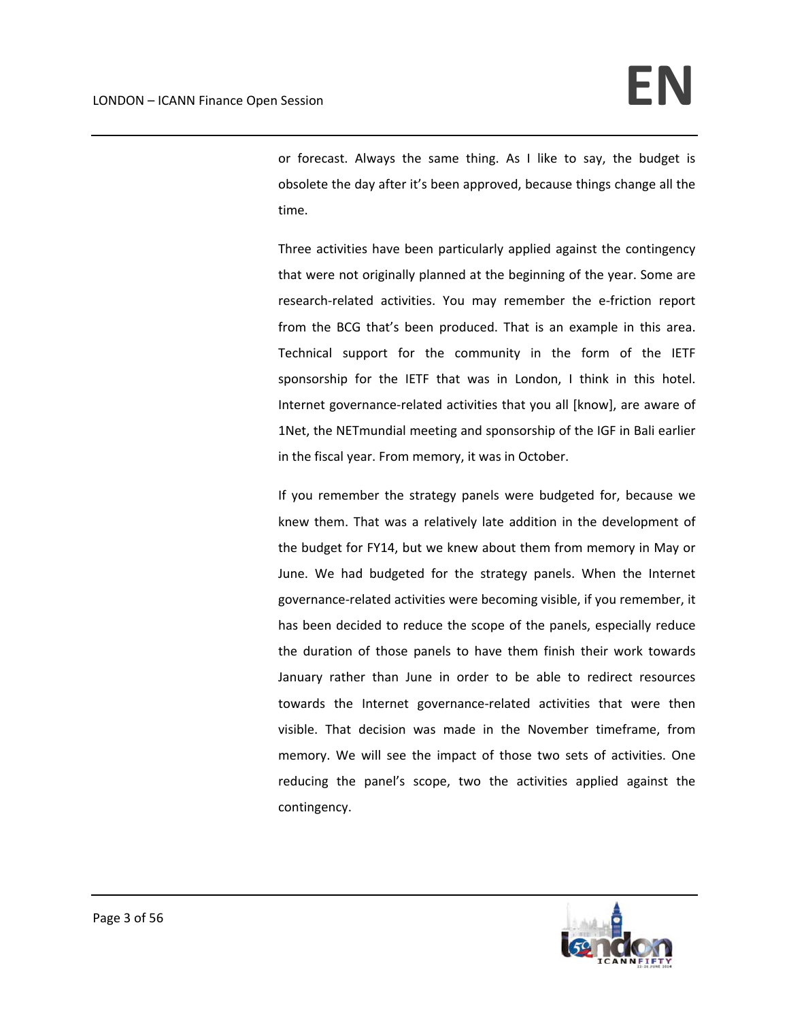or forecast. Always the same thing. As I like to say, the budget is obsolete the day after it's been approved, because things change all the time.

Three activities have been particularly applied against the contingency that were not originally planned at the beginning of the year. Some are research-related activities. You may remember the e-friction report from the BCG that's been produced. That is an example in this area. Technical support for the community in the form of the IETF sponsorship for the IETF that was in London, I think in this hotel. Internet governance‐related activities that you all [know], are aware of 1Net, the NETmundial meeting and sponsorship of the IGF in Bali earlier in the fiscal year. From memory, it was in October.

If you remember the strategy panels were budgeted for, because we knew them. That was a relatively late addition in the development of the budget for FY14, but we knew about them from memory in May or June. We had budgeted for the strategy panels. When the Internet governance‐related activities were becoming visible, if you remember, it has been decided to reduce the scope of the panels, especially reduce the duration of those panels to have them finish their work towards January rather than June in order to be able to redirect resources towards the Internet governance‐related activities that were then visible. That decision was made in the November timeframe, from memory. We will see the impact of those two sets of activities. One reducing the panel's scope, two the activities applied against the contingency.

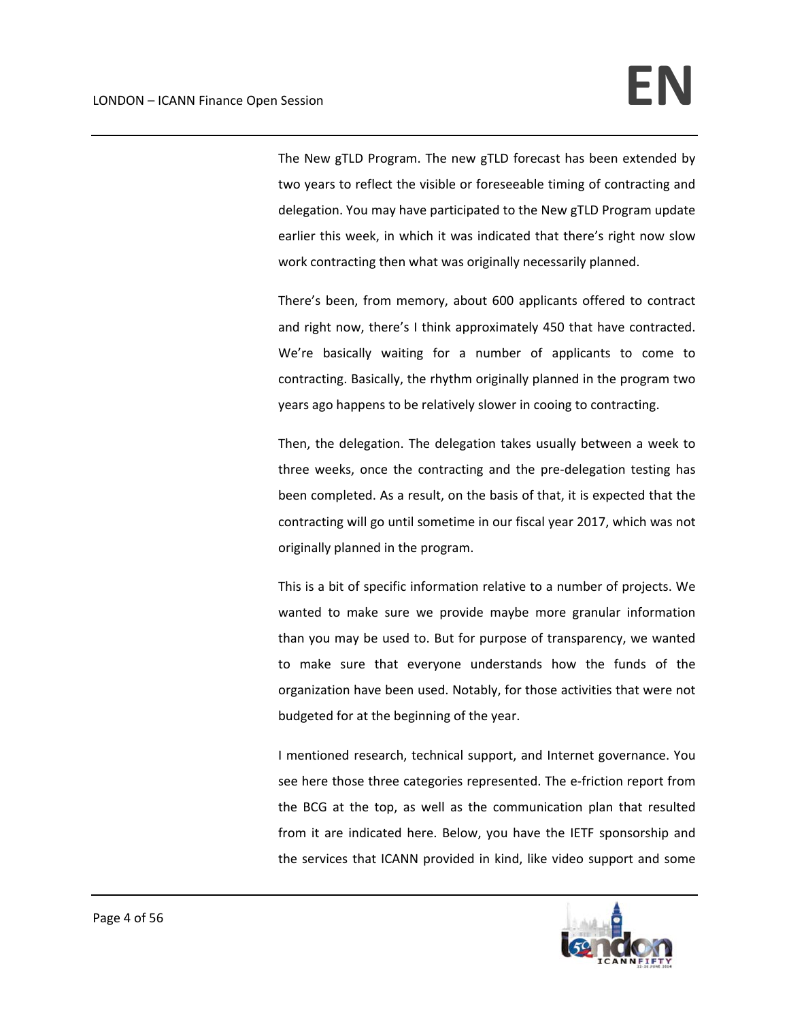The New gTLD Program. The new gTLD forecast has been extended by two years to reflect the visible or foreseeable timing of contracting and delegation. You may have participated to the New gTLD Program update earlier this week, in which it was indicated that there's right now slow work contracting then what was originally necessarily planned.

There's been, from memory, about 600 applicants offered to contract and right now, there's I think approximately 450 that have contracted. We're basically waiting for a number of applicants to come to contracting. Basically, the rhythm originally planned in the program two years ago happens to be relatively slower in cooing to contracting.

Then, the delegation. The delegation takes usually between a week to three weeks, once the contracting and the pre‐delegation testing has been completed. As a result, on the basis of that, it is expected that the contracting will go until sometime in our fiscal year 2017, which was not originally planned in the program.

This is a bit of specific information relative to a number of projects. We wanted to make sure we provide maybe more granular information than you may be used to. But for purpose of transparency, we wanted to make sure that everyone understands how the funds of the organization have been used. Notably, for those activities that were not budgeted for at the beginning of the year.

I mentioned research, technical support, and Internet governance. You see here those three categories represented. The e-friction report from the BCG at the top, as well as the communication plan that resulted from it are indicated here. Below, you have the IETF sponsorship and the services that ICANN provided in kind, like video support and some

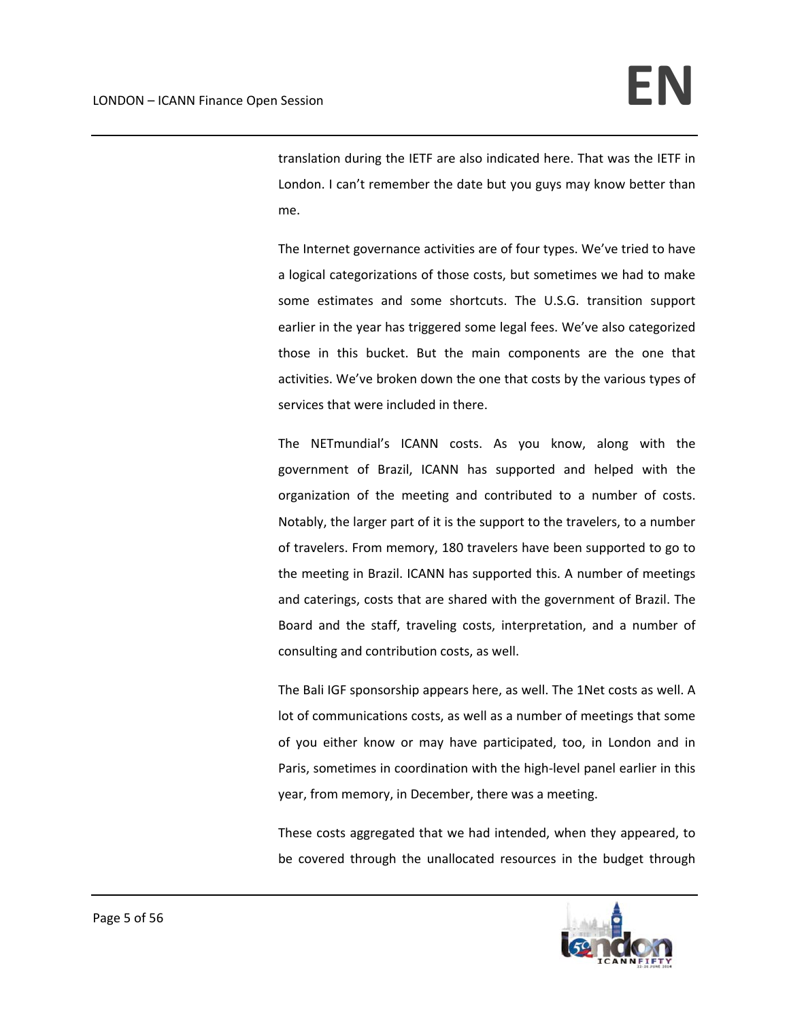translation during the IETF are also indicated here. That was the IETF in London. I can't remember the date but you guys may know better than me.

The Internet governance activities are of four types. We've tried to have a logical categorizations of those costs, but sometimes we had to make some estimates and some shortcuts. The U.S.G. transition support earlier in the year has triggered some legal fees. We've also categorized those in this bucket. But the main components are the one that activities. We've broken down the one that costs by the various types of services that were included in there.

The NETmundial's ICANN costs. As you know, along with the government of Brazil, ICANN has supported and helped with the organization of the meeting and contributed to a number of costs. Notably, the larger part of it is the support to the travelers, to a number of travelers. From memory, 180 travelers have been supported to go to the meeting in Brazil. ICANN has supported this. A number of meetings and caterings, costs that are shared with the government of Brazil. The Board and the staff, traveling costs, interpretation, and a number of consulting and contribution costs, as well.

The Bali IGF sponsorship appears here, as well. The 1Net costs as well. A lot of communications costs, as well as a number of meetings that some of you either know or may have participated, too, in London and in Paris, sometimes in coordination with the high‐level panel earlier in this year, from memory, in December, there was a meeting.

These costs aggregated that we had intended, when they appeared, to be covered through the unallocated resources in the budget through

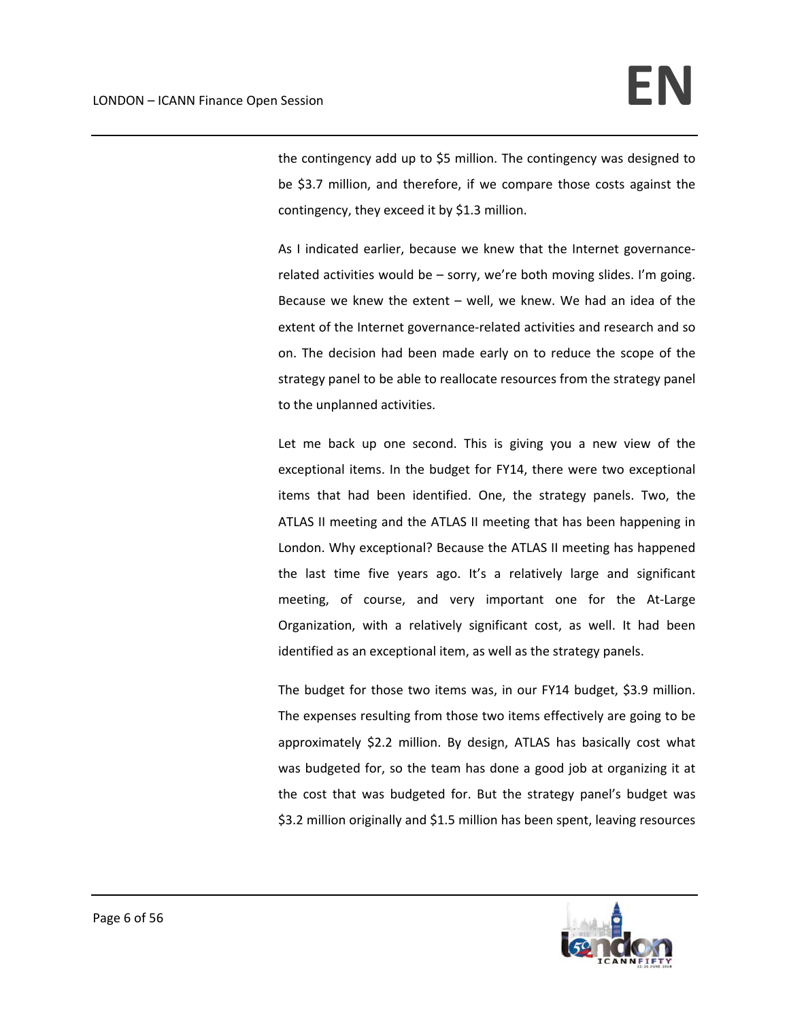the contingency add up to \$5 million. The contingency was designed to be \$3.7 million, and therefore, if we compare those costs against the contingency, they exceed it by \$1.3 million.

As I indicated earlier, because we knew that the Internet governance‐ related activities would be – sorry, we're both moving slides. I'm going. Because we knew the extent – well, we knew. We had an idea of the extent of the Internet governance‐related activities and research and so on. The decision had been made early on to reduce the scope of the strategy panel to be able to reallocate resources from the strategy panel to the unplanned activities.

Let me back up one second. This is giving you a new view of the exceptional items. In the budget for FY14, there were two exceptional items that had been identified. One, the strategy panels. Two, the ATLAS II meeting and the ATLAS II meeting that has been happening in London. Why exceptional? Because the ATLAS II meeting has happened the last time five years ago. It's a relatively large and significant meeting, of course, and very important one for the At‐Large Organization, with a relatively significant cost, as well. It had been identified as an exceptional item, as well as the strategy panels.

The budget for those two items was, in our FY14 budget, \$3.9 million. The expenses resulting from those two items effectively are going to be approximately \$2.2 million. By design, ATLAS has basically cost what was budgeted for, so the team has done a good job at organizing it at the cost that was budgeted for. But the strategy panel's budget was \$3.2 million originally and \$1.5 million has been spent, leaving resources

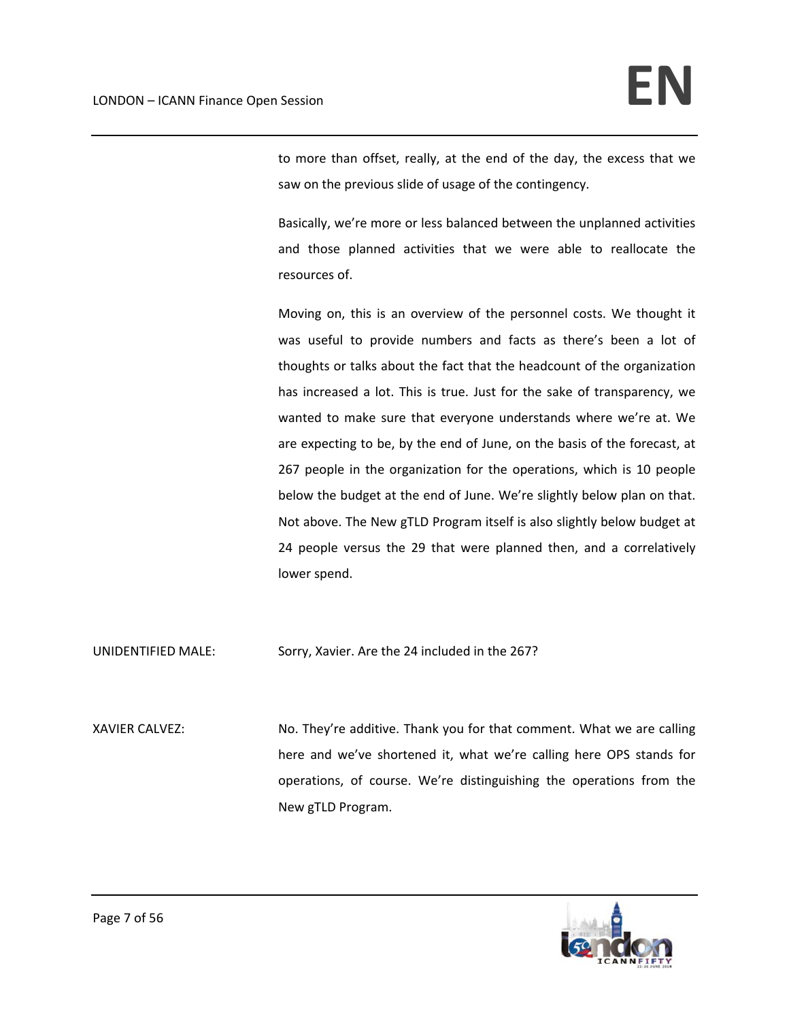to more than offset, really, at the end of the day, the excess that we saw on the previous slide of usage of the contingency.

Basically, we're more or less balanced between the unplanned activities and those planned activities that we were able to reallocate the resources of.

Moving on, this is an overview of the personnel costs. We thought it was useful to provide numbers and facts as there's been a lot of thoughts or talks about the fact that the headcount of the organization has increased a lot. This is true. Just for the sake of transparency, we wanted to make sure that everyone understands where we're at. We are expecting to be, by the end of June, on the basis of the forecast, at 267 people in the organization for the operations, which is 10 people below the budget at the end of June. We're slightly below plan on that. Not above. The New gTLD Program itself is also slightly below budget at 24 people versus the 29 that were planned then, and a correlatively lower spend.

UNIDENTIFIED MALE: Sorry, Xavier. Are the 24 included in the 267?

XAVIER CALVEZ: No. They're additive. Thank you for that comment. What we are calling here and we've shortened it, what we're calling here OPS stands for operations, of course. We're distinguishing the operations from the New gTLD Program.

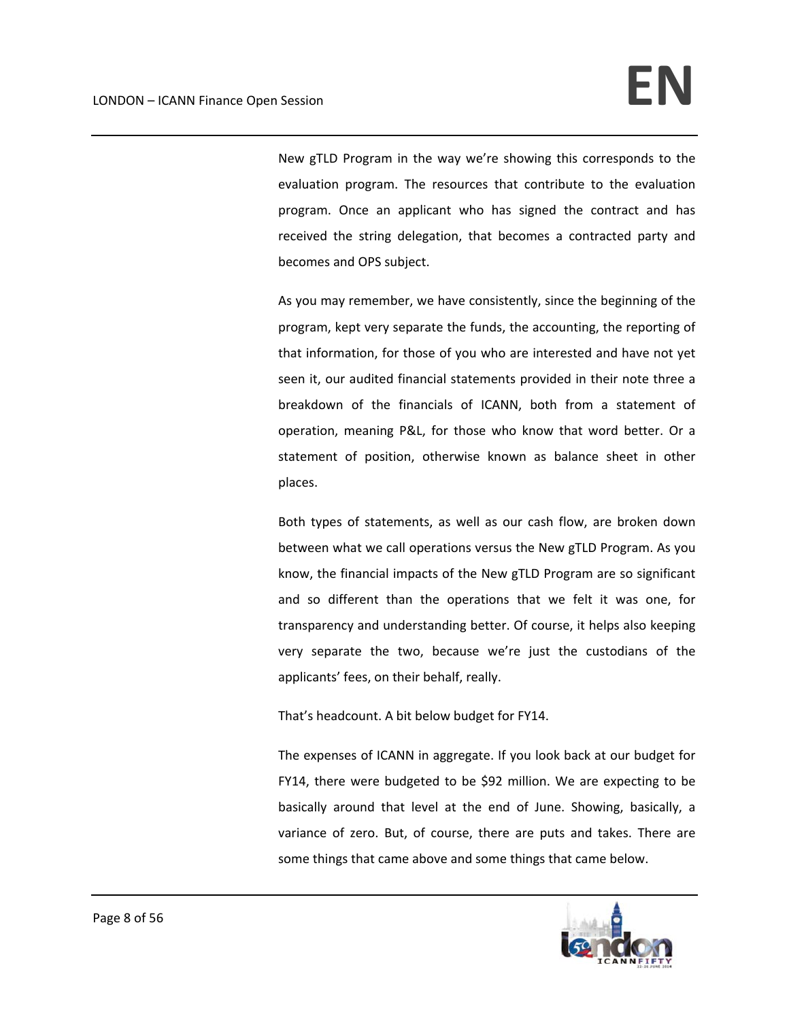New gTLD Program in the way we're showing this corresponds to the evaluation program. The resources that contribute to the evaluation program. Once an applicant who has signed the contract and has received the string delegation, that becomes a contracted party and becomes and OPS subject.

As you may remember, we have consistently, since the beginning of the program, kept very separate the funds, the accounting, the reporting of that information, for those of you who are interested and have not yet seen it, our audited financial statements provided in their note three a breakdown of the financials of ICANN, both from a statement of operation, meaning P&L, for those who know that word better. Or a statement of position, otherwise known as balance sheet in other places.

Both types of statements, as well as our cash flow, are broken down between what we call operations versus the New gTLD Program. As you know, the financial impacts of the New gTLD Program are so significant and so different than the operations that we felt it was one, for transparency and understanding better. Of course, it helps also keeping very separate the two, because we're just the custodians of the applicants' fees, on their behalf, really.

That's headcount. A bit below budget for FY14.

The expenses of ICANN in aggregate. If you look back at our budget for FY14, there were budgeted to be \$92 million. We are expecting to be basically around that level at the end of June. Showing, basically, a variance of zero. But, of course, there are puts and takes. There are some things that came above and some things that came below.

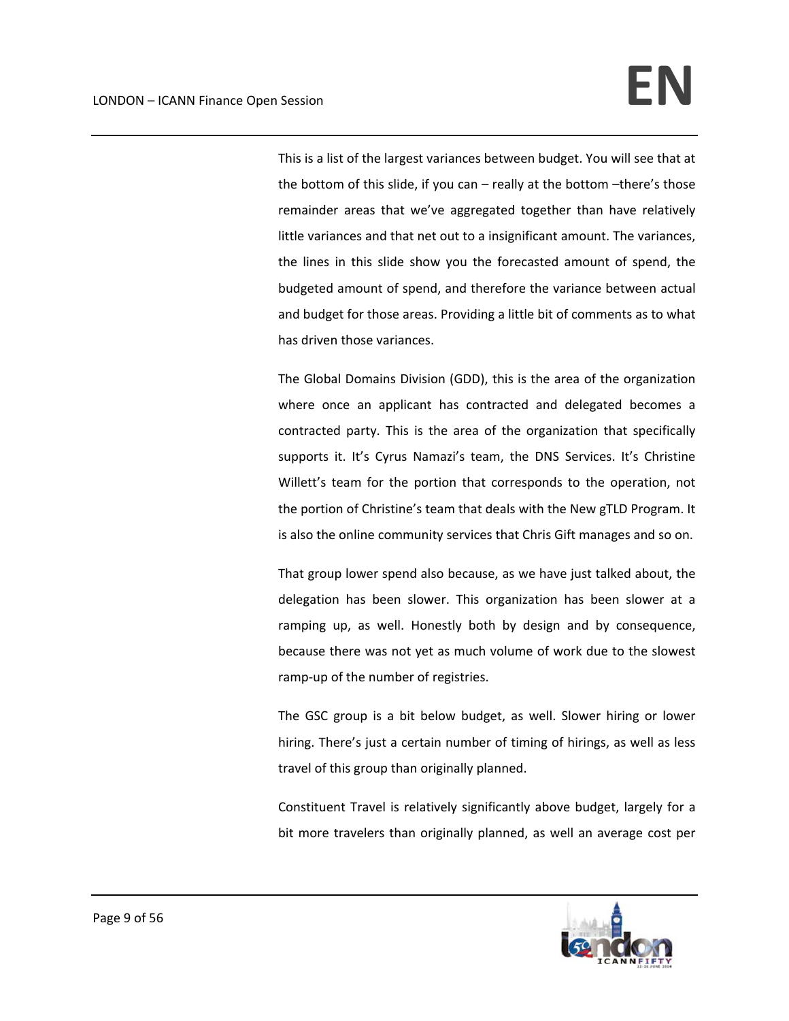This is a list of the largest variances between budget. You will see that at the bottom of this slide, if you can – really at the bottom –there's those remainder areas that we've aggregated together than have relatively little variances and that net out to a insignificant amount. The variances, the lines in this slide show you the forecasted amount of spend, the budgeted amount of spend, and therefore the variance between actual and budget for those areas. Providing a little bit of comments as to what has driven those variances.

The Global Domains Division (GDD), this is the area of the organization where once an applicant has contracted and delegated becomes a contracted party. This is the area of the organization that specifically supports it. It's Cyrus Namazi's team, the DNS Services. It's Christine Willett's team for the portion that corresponds to the operation, not the portion of Christine's team that deals with the New gTLD Program. It is also the online community services that Chris Gift manages and so on.

That group lower spend also because, as we have just talked about, the delegation has been slower. This organization has been slower at a ramping up, as well. Honestly both by design and by consequence, because there was not yet as much volume of work due to the slowest ramp‐up of the number of registries.

The GSC group is a bit below budget, as well. Slower hiring or lower hiring. There's just a certain number of timing of hirings, as well as less travel of this group than originally planned.

Constituent Travel is relatively significantly above budget, largely for a bit more travelers than originally planned, as well an average cost per

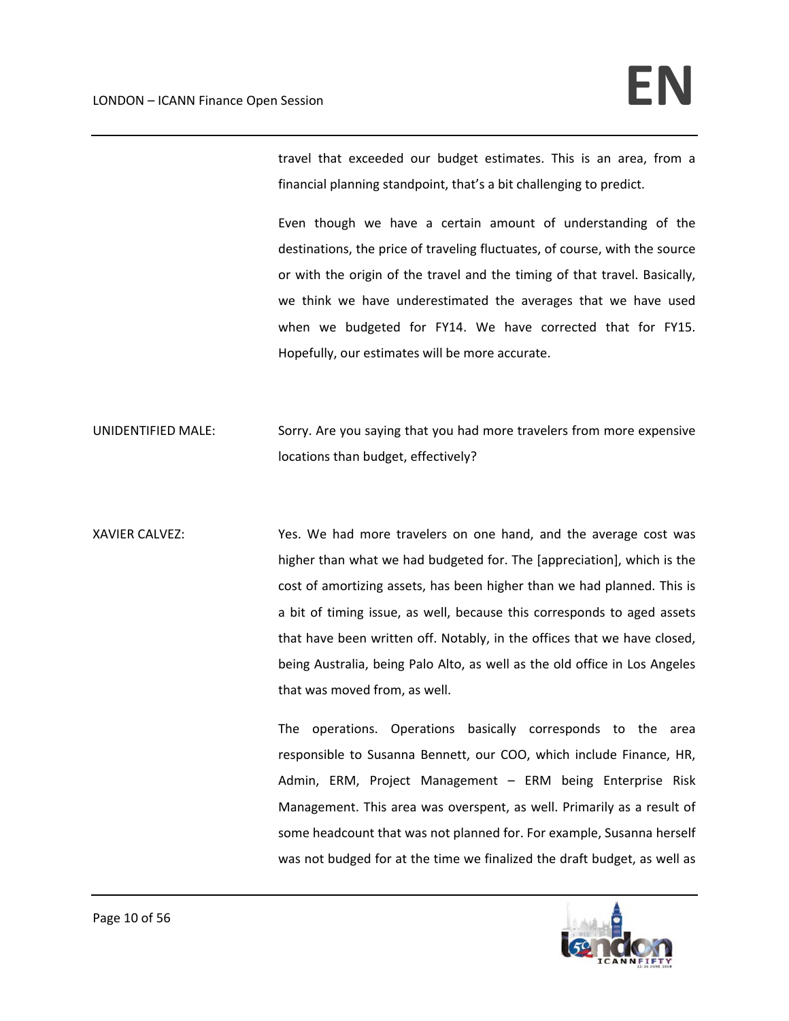travel that exceeded our budget estimates. This is an area, from a financial planning standpoint, that's a bit challenging to predict.

Even though we have a certain amount of understanding of the destinations, the price of traveling fluctuates, of course, with the source or with the origin of the travel and the timing of that travel. Basically, we think we have underestimated the averages that we have used when we budgeted for FY14. We have corrected that for FY15. Hopefully, our estimates will be more accurate.

UNIDENTIFIED MALE: Sorry. Are you saying that you had more travelers from more expensive locations than budget, effectively?

XAVIER CALVEZ: Yes. We had more travelers on one hand, and the average cost was higher than what we had budgeted for. The [appreciation], which is the cost of amortizing assets, has been higher than we had planned. This is a bit of timing issue, as well, because this corresponds to aged assets that have been written off. Notably, in the offices that we have closed, being Australia, being Palo Alto, as well as the old office in Los Angeles that was moved from, as well.

> The operations. Operations basically corresponds to the area responsible to Susanna Bennett, our COO, which include Finance, HR, Admin, ERM, Project Management – ERM being Enterprise Risk Management. This area was overspent, as well. Primarily as a result of some headcount that was not planned for. For example, Susanna herself was not budged for at the time we finalized the draft budget, as well as

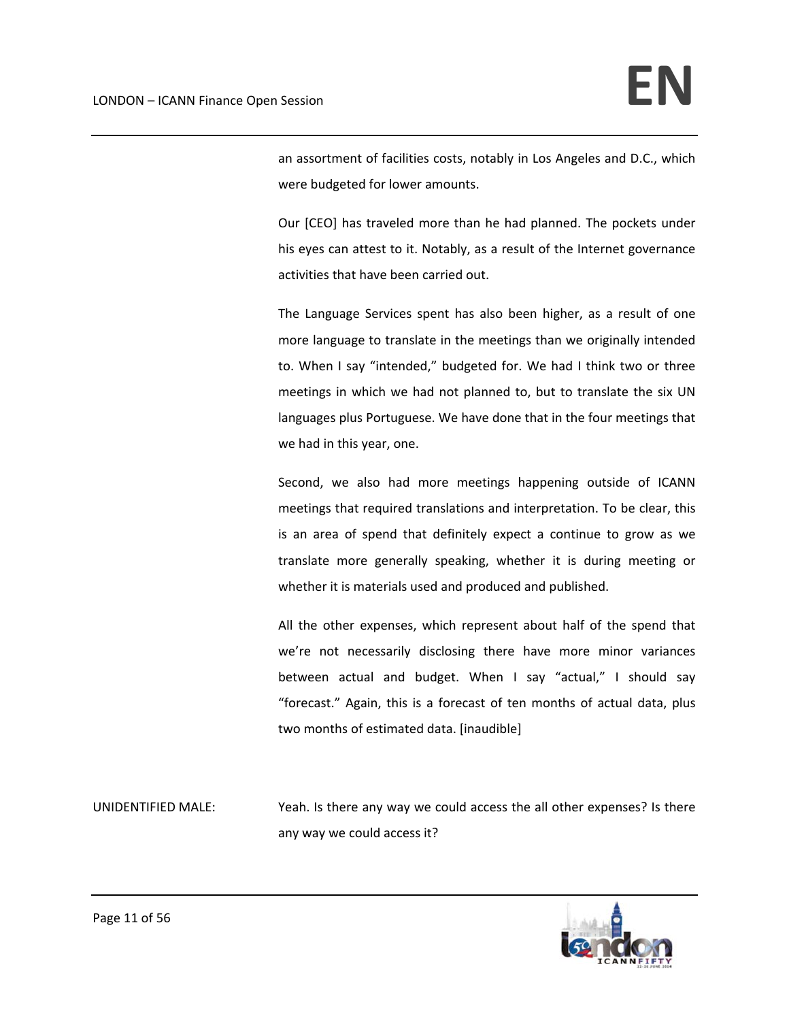an assortment of facilities costs, notably in Los Angeles and D.C., which were budgeted for lower amounts.

Our [CEO] has traveled more than he had planned. The pockets under his eyes can attest to it. Notably, as a result of the Internet governance activities that have been carried out.

The Language Services spent has also been higher, as a result of one more language to translate in the meetings than we originally intended to. When I say "intended," budgeted for. We had I think two or three meetings in which we had not planned to, but to translate the six UN languages plus Portuguese. We have done that in the four meetings that we had in this year, one.

Second, we also had more meetings happening outside of ICANN meetings that required translations and interpretation. To be clear, this is an area of spend that definitely expect a continue to grow as we translate more generally speaking, whether it is during meeting or whether it is materials used and produced and published.

All the other expenses, which represent about half of the spend that we're not necessarily disclosing there have more minor variances between actual and budget. When I say "actual," I should say "forecast." Again, this is a forecast of ten months of actual data, plus two months of estimated data. [inaudible]

UNIDENTIFIED MALE: Yeah. Is there any way we could access the all other expenses? Is there any way we could access it?

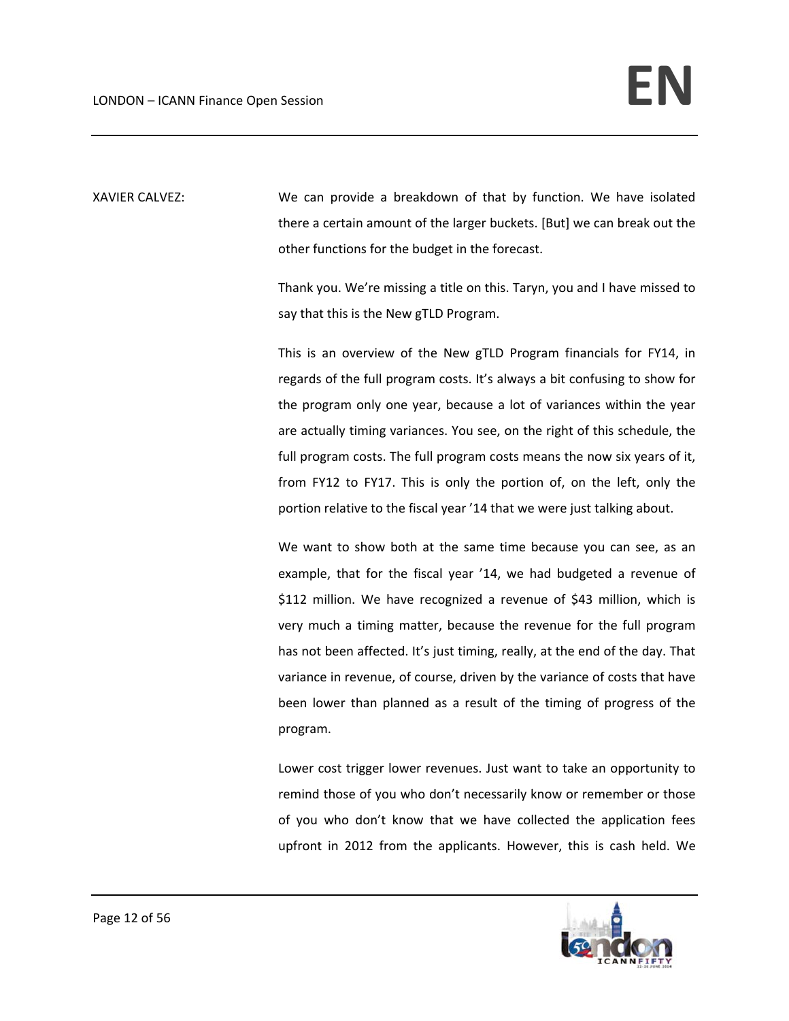XAVIER CALVEZ: We can provide a breakdown of that by function. We have isolated there a certain amount of the larger buckets. [But] we can break out the other functions for the budget in the forecast.

> Thank you. We're missing a title on this. Taryn, you and I have missed to say that this is the New gTLD Program.

> This is an overview of the New gTLD Program financials for FY14, in regards of the full program costs. It's always a bit confusing to show for the program only one year, because a lot of variances within the year are actually timing variances. You see, on the right of this schedule, the full program costs. The full program costs means the now six years of it, from FY12 to FY17. This is only the portion of, on the left, only the portion relative to the fiscal year '14 that we were just talking about.

> We want to show both at the same time because you can see, as an example, that for the fiscal year '14, we had budgeted a revenue of \$112 million. We have recognized a revenue of \$43 million, which is very much a timing matter, because the revenue for the full program has not been affected. It's just timing, really, at the end of the day. That variance in revenue, of course, driven by the variance of costs that have been lower than planned as a result of the timing of progress of the program.

> Lower cost trigger lower revenues. Just want to take an opportunity to remind those of you who don't necessarily know or remember or those of you who don't know that we have collected the application fees upfront in 2012 from the applicants. However, this is cash held. We

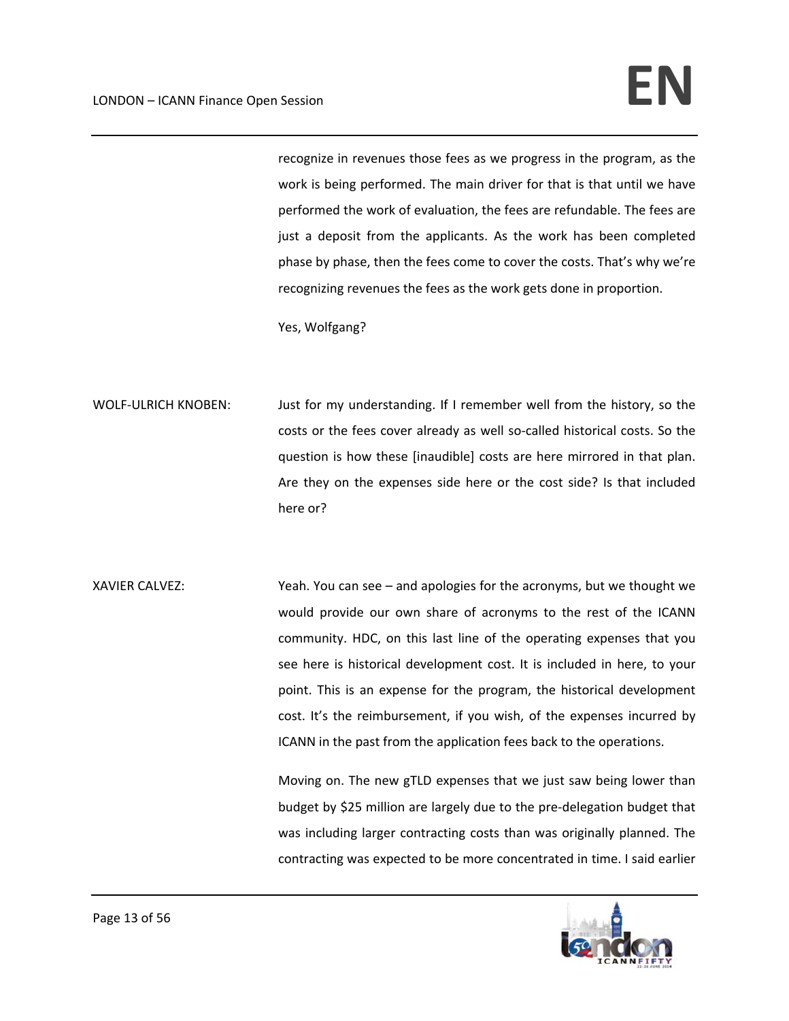recognize in revenues those fees as we progress in the program, as the work is being performed. The main driver for that is that until we have performed the work of evaluation, the fees are refundable. The fees are just a deposit from the applicants. As the work has been completed phase by phase, then the fees come to cover the costs. That's why we're recognizing revenues the fees as the work gets done in proportion.

Yes, Wolfgang?

- WOLF-ULRICH KNOBEN: Just for my understanding. If I remember well from the history, so the costs or the fees cover already as well so-called historical costs. So the question is how these [inaudible] costs are here mirrored in that plan. Are they on the expenses side here or the cost side? Is that included here or?
- XAVIER CALVEZ: Yeah. You can see and apologies for the acronyms, but we thought we would provide our own share of acronyms to the rest of the ICANN community. HDC, on this last line of the operating expenses that you see here is historical development cost. It is included in here, to your point. This is an expense for the program, the historical development cost. It's the reimbursement, if you wish, of the expenses incurred by ICANN in the past from the application fees back to the operations.

Moving on. The new gTLD expenses that we just saw being lower than budget by \$25 million are largely due to the pre‐delegation budget that was including larger contracting costs than was originally planned. The contracting was expected to be more concentrated in time. I said earlier

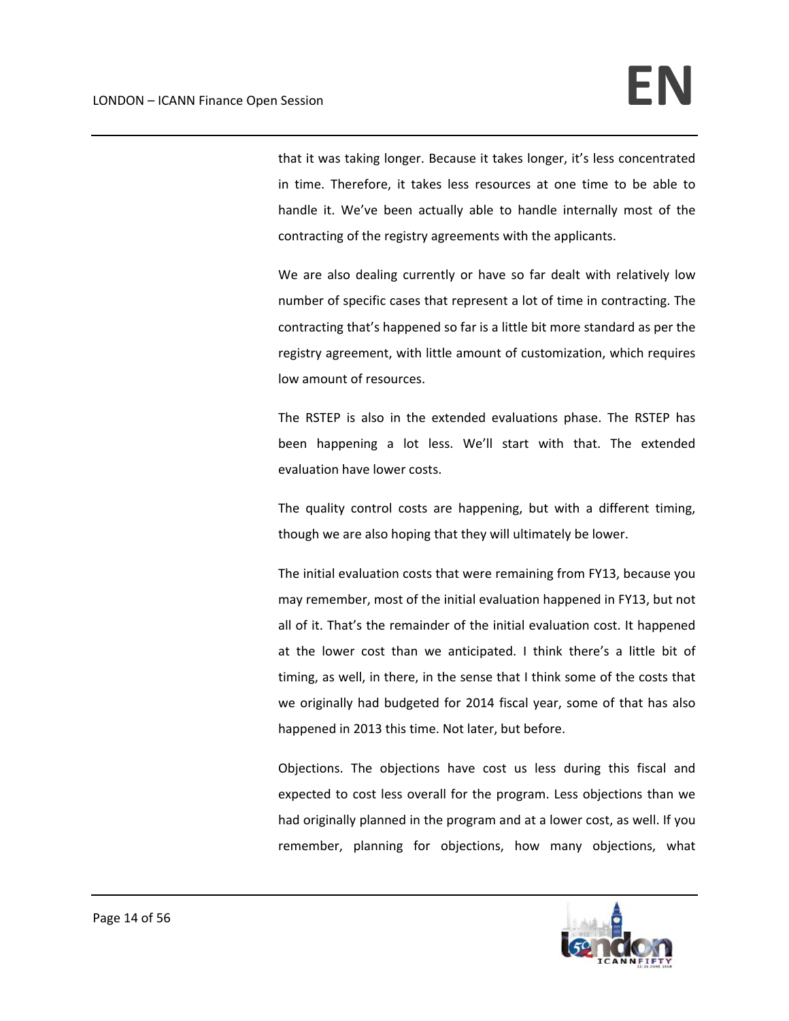that it was taking longer. Because it takes longer, it's less concentrated in time. Therefore, it takes less resources at one time to be able to handle it. We've been actually able to handle internally most of the contracting of the registry agreements with the applicants.

We are also dealing currently or have so far dealt with relatively low number of specific cases that represent a lot of time in contracting. The contracting that's happened so far is a little bit more standard as per the registry agreement, with little amount of customization, which requires low amount of resources.

The RSTEP is also in the extended evaluations phase. The RSTEP has been happening a lot less. We'll start with that. The extended evaluation have lower costs.

The quality control costs are happening, but with a different timing, though we are also hoping that they will ultimately be lower.

The initial evaluation costs that were remaining from FY13, because you may remember, most of the initial evaluation happened in FY13, but not all of it. That's the remainder of the initial evaluation cost. It happened at the lower cost than we anticipated. I think there's a little bit of timing, as well, in there, in the sense that I think some of the costs that we originally had budgeted for 2014 fiscal year, some of that has also happened in 2013 this time. Not later, but before.

Objections. The objections have cost us less during this fiscal and expected to cost less overall for the program. Less objections than we had originally planned in the program and at a lower cost, as well. If you remember, planning for objections, how many objections, what

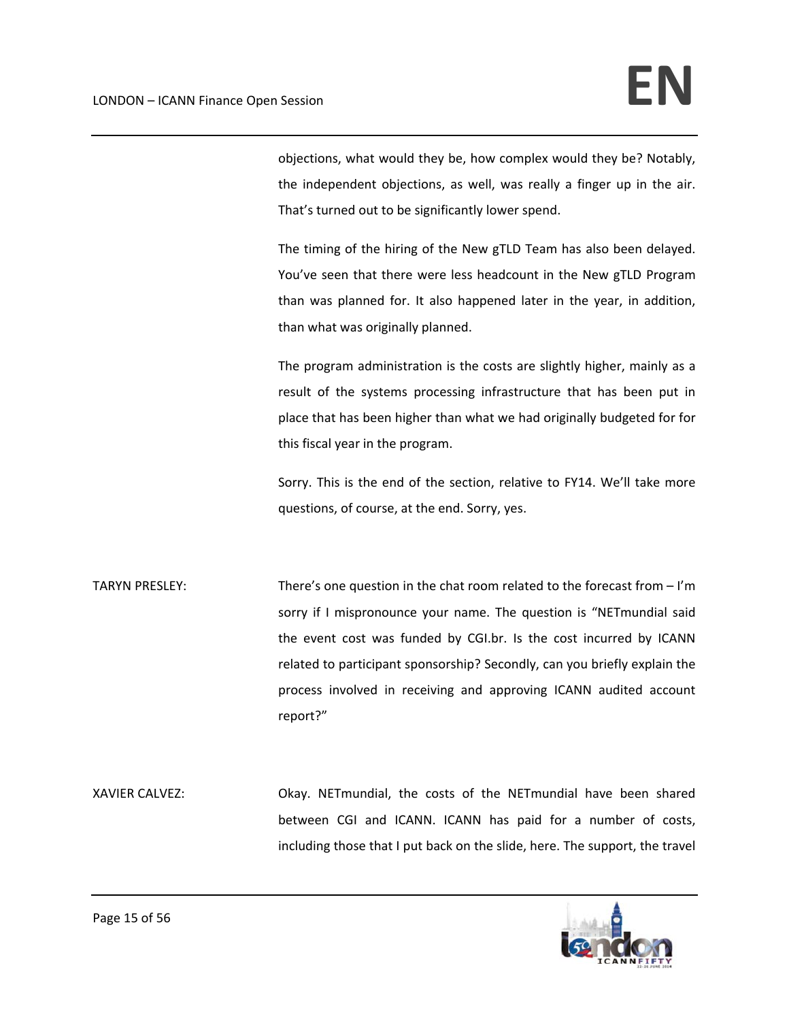objections, what would they be, how complex would they be? Notably, the independent objections, as well, was really a finger up in the air. That's turned out to be significantly lower spend.

The timing of the hiring of the New gTLD Team has also been delayed. You've seen that there were less headcount in the New gTLD Program than was planned for. It also happened later in the year, in addition, than what was originally planned.

The program administration is the costs are slightly higher, mainly as a result of the systems processing infrastructure that has been put in place that has been higher than what we had originally budgeted for for this fiscal year in the program.

Sorry. This is the end of the section, relative to FY14. We'll take more questions, of course, at the end. Sorry, yes.

TARYN PRESLEY: There's one question in the chat room related to the forecast from – I'm sorry if I mispronounce your name. The question is "NETmundial said the event cost was funded by CGI.br. Is the cost incurred by ICANN related to participant sponsorship? Secondly, can you briefly explain the process involved in receiving and approving ICANN audited account report?"

XAVIER CALVEZ: Okay. NETmundial, the costs of the NETmundial have been shared between CGI and ICANN. ICANN has paid for a number of costs, including those that I put back on the slide, here. The support, the travel

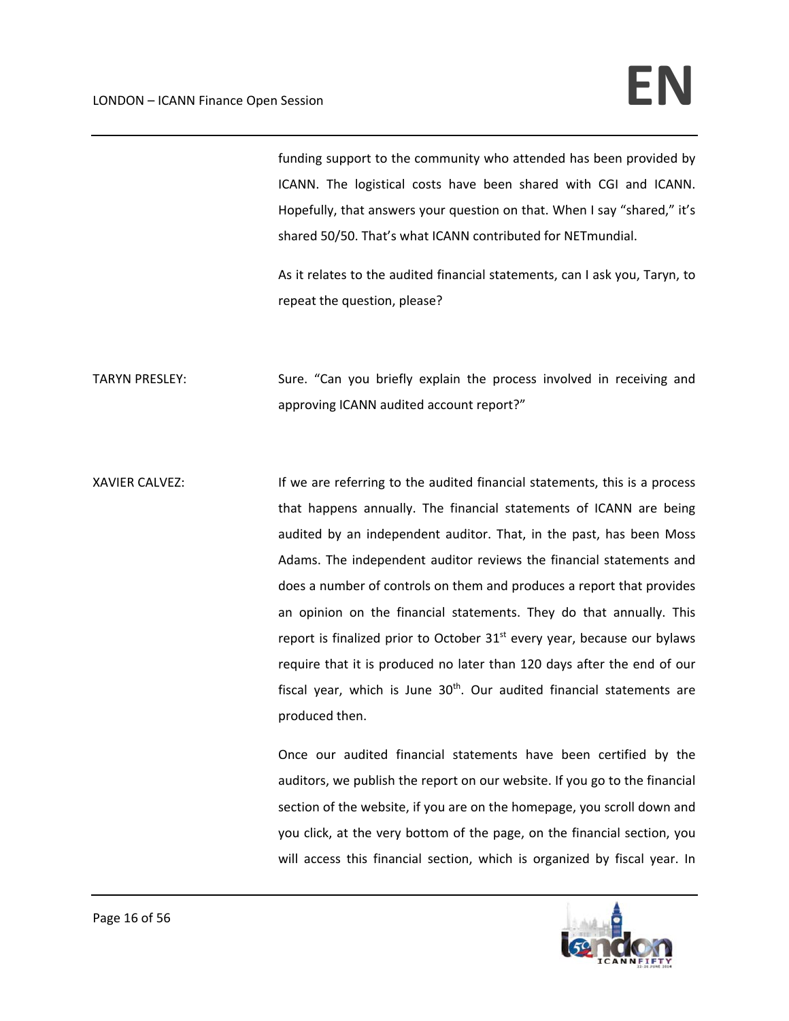funding support to the community who attended has been provided by ICANN. The logistical costs have been shared with CGI and ICANN. Hopefully, that answers your question on that. When I say "shared," it's shared 50/50. That's what ICANN contributed for NETmundial.

As it relates to the audited financial statements, can I ask you, Taryn, to repeat the question, please?

TARYN PRESLEY: Sure. "Can you briefly explain the process involved in receiving and approving ICANN audited account report?"

XAVIER CALVEZ: In the are referring to the audited financial statements, this is a process that happens annually. The financial statements of ICANN are being audited by an independent auditor. That, in the past, has been Moss Adams. The independent auditor reviews the financial statements and does a number of controls on them and produces a report that provides an opinion on the financial statements. They do that annually. This report is finalized prior to October  $31<sup>st</sup>$  every year, because our bylaws require that it is produced no later than 120 days after the end of our fiscal year, which is June  $30<sup>th</sup>$ . Our audited financial statements are produced then.

> Once our audited financial statements have been certified by the auditors, we publish the report on our website. If you go to the financial section of the website, if you are on the homepage, you scroll down and you click, at the very bottom of the page, on the financial section, you will access this financial section, which is organized by fiscal year. In

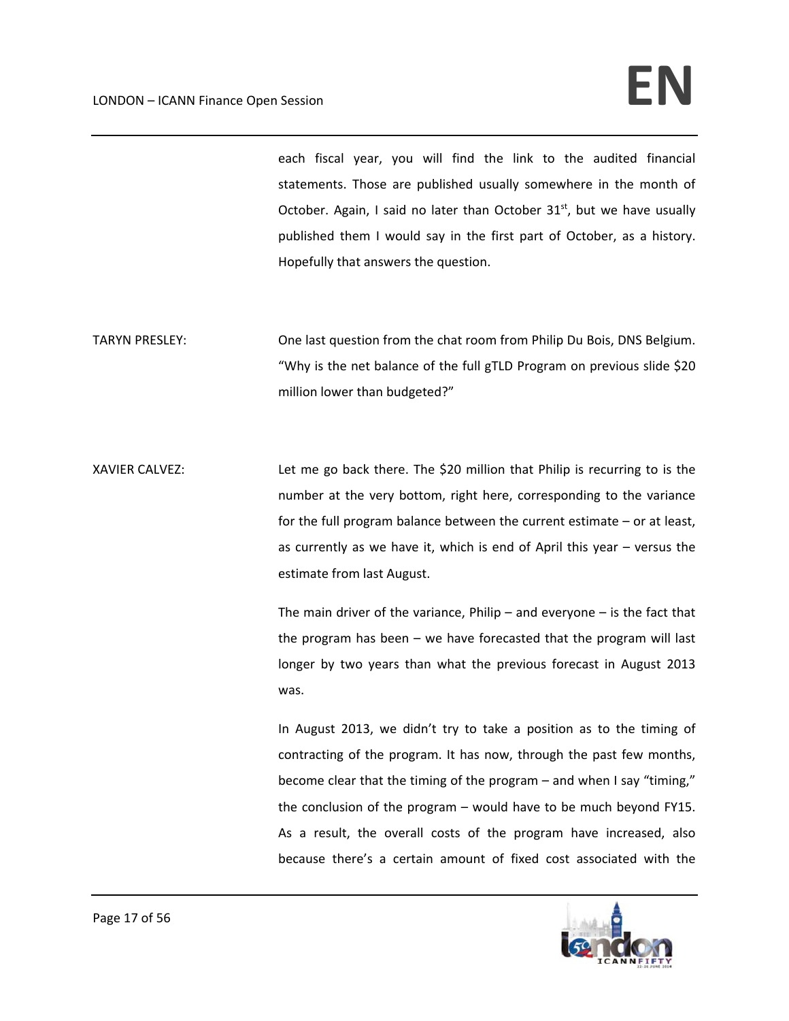## LONDON – ICANN Finance Open Session **EN**

each fiscal year, you will find the link to the audited financial statements. Those are published usually somewhere in the month of October. Again, I said no later than October  $31<sup>st</sup>$ , but we have usually published them I would say in the first part of October, as a history. Hopefully that answers the question.

TARYN PRESLEY: One last question from the chat room from Philip Du Bois, DNS Belgium. "Why is the net balance of the full gTLD Program on previous slide \$20 million lower than budgeted?"

XAVIER CALVEZ: Let me go back there. The \$20 million that Philip is recurring to is the number at the very bottom, right here, corresponding to the variance for the full program balance between the current estimate – or at least, as currently as we have it, which is end of April this year – versus the estimate from last August.

> The main driver of the variance, Philip  $-$  and everyone  $-$  is the fact that the program has been – we have forecasted that the program will last longer by two years than what the previous forecast in August 2013 was.

> In August 2013, we didn't try to take a position as to the timing of contracting of the program. It has now, through the past few months, become clear that the timing of the program – and when I say "timing," the conclusion of the program – would have to be much beyond FY15. As a result, the overall costs of the program have increased, also because there's a certain amount of fixed cost associated with the

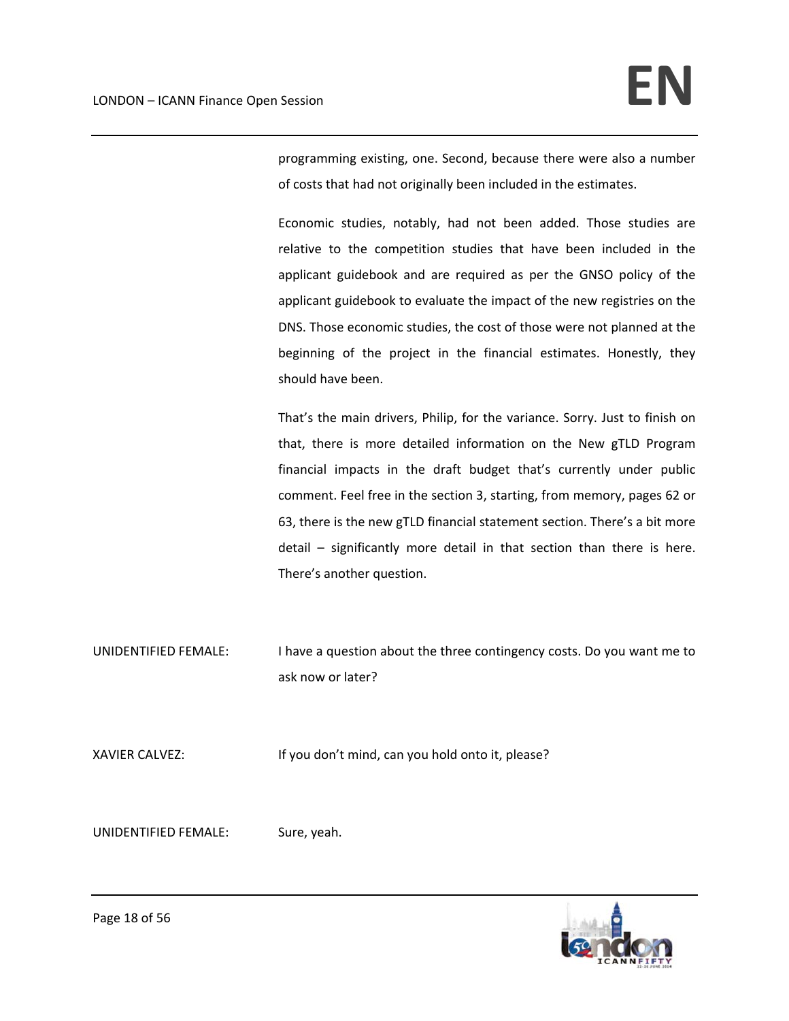programming existing, one. Second, because there were also a number of costs that had not originally been included in the estimates.

Economic studies, notably, had not been added. Those studies are relative to the competition studies that have been included in the applicant guidebook and are required as per the GNSO policy of the applicant guidebook to evaluate the impact of the new registries on the DNS. Those economic studies, the cost of those were not planned at the beginning of the project in the financial estimates. Honestly, they should have been.

That's the main drivers, Philip, for the variance. Sorry. Just to finish on that, there is more detailed information on the New gTLD Program financial impacts in the draft budget that's currently under public comment. Feel free in the section 3, starting, from memory, pages 62 or 63, there is the new gTLD financial statement section. There's a bit more detail – significantly more detail in that section than there is here. There's another question.

UNIDENTIFIED FEMALE: I have a question about the three contingency costs. Do you want me to ask now or later?

XAVIER CALVEZ: If you don't mind, can you hold onto it, please?

UNIDENTIFIED FEMALE: Sure, yeah.

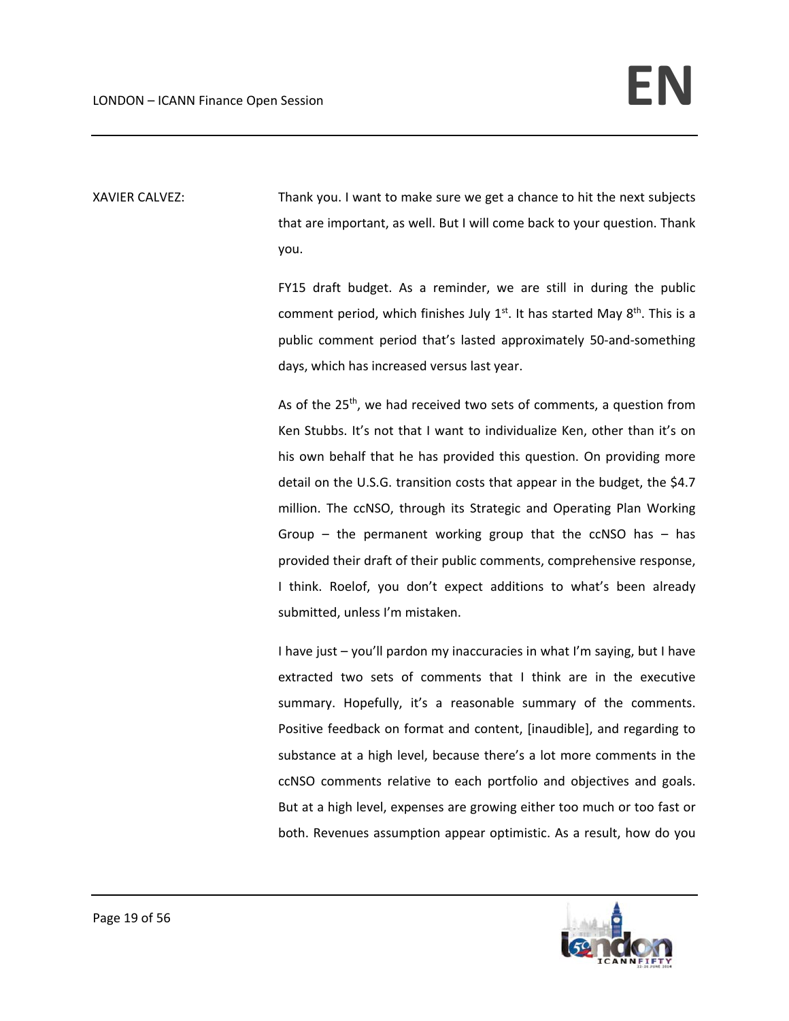XAVIER CALVEZ: Thank you. I want to make sure we get a chance to hit the next subjects that are important, as well. But I will come back to your question. Thank you.

> FY15 draft budget. As a reminder, we are still in during the public comment period, which finishes July  $1<sup>st</sup>$ . It has started May  $8<sup>th</sup>$ . This is a public comment period that's lasted approximately 50‐and‐something days, which has increased versus last year.

> As of the  $25<sup>th</sup>$ , we had received two sets of comments, a question from Ken Stubbs. It's not that I want to individualize Ken, other than it's on his own behalf that he has provided this question. On providing more detail on the U.S.G. transition costs that appear in the budget, the \$4.7 million. The ccNSO, through its Strategic and Operating Plan Working Group  $-$  the permanent working group that the ccNSO has  $-$  has provided their draft of their public comments, comprehensive response, I think. Roelof, you don't expect additions to what's been already submitted, unless I'm mistaken.

> I have just – you'll pardon my inaccuracies in what I'm saying, but I have extracted two sets of comments that I think are in the executive summary. Hopefully, it's a reasonable summary of the comments. Positive feedback on format and content, [inaudible], and regarding to substance at a high level, because there's a lot more comments in the ccNSO comments relative to each portfolio and objectives and goals. But at a high level, expenses are growing either too much or too fast or both. Revenues assumption appear optimistic. As a result, how do you

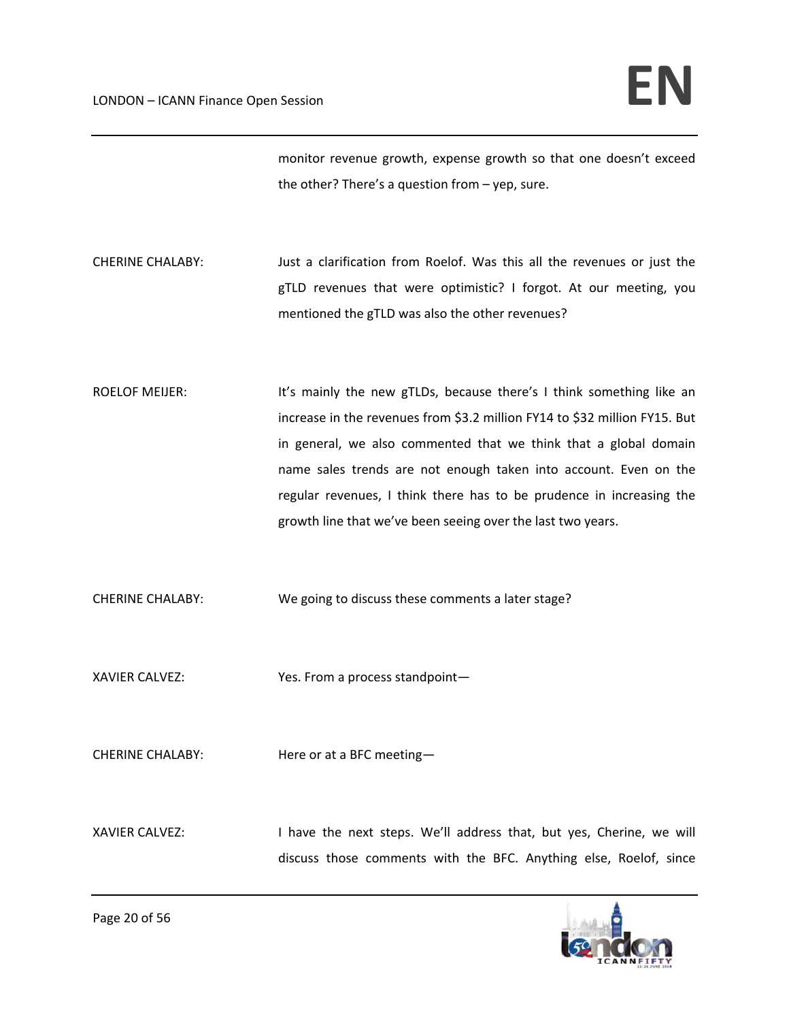monitor revenue growth, expense growth so that one doesn't exceed the other? There's a question from – yep, sure.

- CHERINE CHALABY: Just a clarification from Roelof. Was this all the revenues or just the gTLD revenues that were optimistic? I forgot. At our meeting, you mentioned the gTLD was also the other revenues?
- ROELOF MEIJER: It's mainly the new gTLDs, because there's I think something like an increase in the revenues from \$3.2 million FY14 to \$32 million FY15. But in general, we also commented that we think that a global domain name sales trends are not enough taken into account. Even on the regular revenues, I think there has to be prudence in increasing the growth line that we've been seeing over the last two years.
- CHERINE CHALABY: We going to discuss these comments a later stage?
- XAVIER CALVEZ: Yes. From a process standpoint—

CHERINE CHALABY: Here or at a BFC meeting—

XAVIER CALVEZ: I have the next steps. We'll address that, but yes, Cherine, we will discuss those comments with the BFC. Anything else, Roelof, since

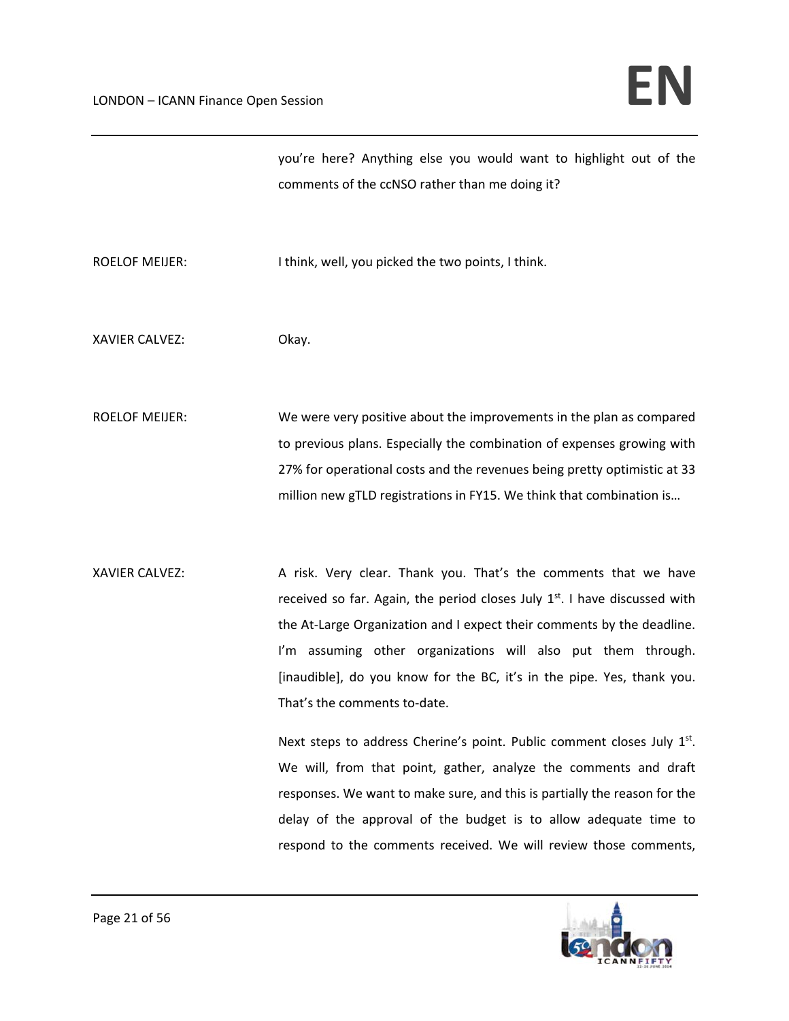you're here? Anything else you would want to highlight out of the comments of the ccNSO rather than me doing it?

ROELOF MEIJER: I think, well, you picked the two points, I think.

XAVIER CALVEZ: Okay.

ROELOF MEIJER: We were very positive about the improvements in the plan as compared to previous plans. Especially the combination of expenses growing with 27% for operational costs and the revenues being pretty optimistic at 33 million new gTLD registrations in FY15. We think that combination is…

XAVIER CALVEZ: A risk. Very clear. Thank you. That's the comments that we have received so far. Again, the period closes July  $1<sup>st</sup>$ . I have discussed with the At-Large Organization and I expect their comments by the deadline. I'm assuming other organizations will also put them through. [inaudible], do you know for the BC, it's in the pipe. Yes, thank you. That's the comments to‐date.

> Next steps to address Cherine's point. Public comment closes July 1st. We will, from that point, gather, analyze the comments and draft responses. We want to make sure, and this is partially the reason for the delay of the approval of the budget is to allow adequate time to respond to the comments received. We will review those comments,

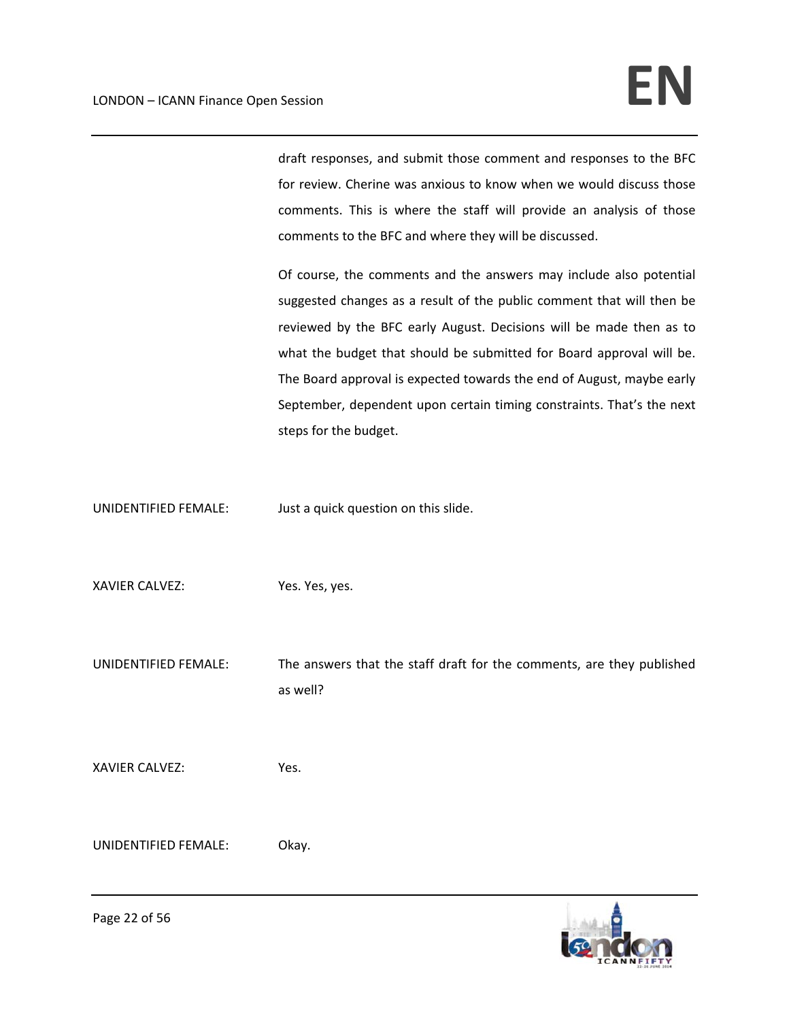draft responses, and submit those comment and responses to the BFC for review. Cherine was anxious to know when we would discuss those comments. This is where the staff will provide an analysis of those comments to the BFC and where they will be discussed.

Of course, the comments and the answers may include also potential suggested changes as a result of the public comment that will then be reviewed by the BFC early August. Decisions will be made then as to what the budget that should be submitted for Board approval will be. The Board approval is expected towards the end of August, maybe early September, dependent upon certain timing constraints. That's the next steps for the budget.

UNIDENTIFIED FEMALE: Just a quick question on this slide.

XAVIER CALVEZ: Yes. Yes. Yes, yes.

UNIDENTIFIED FEMALE: The answers that the staff draft for the comments, are they published as well?

XAVIER CALVEZ: Yes.

UNIDENTIFIED FEMALE: Okay.

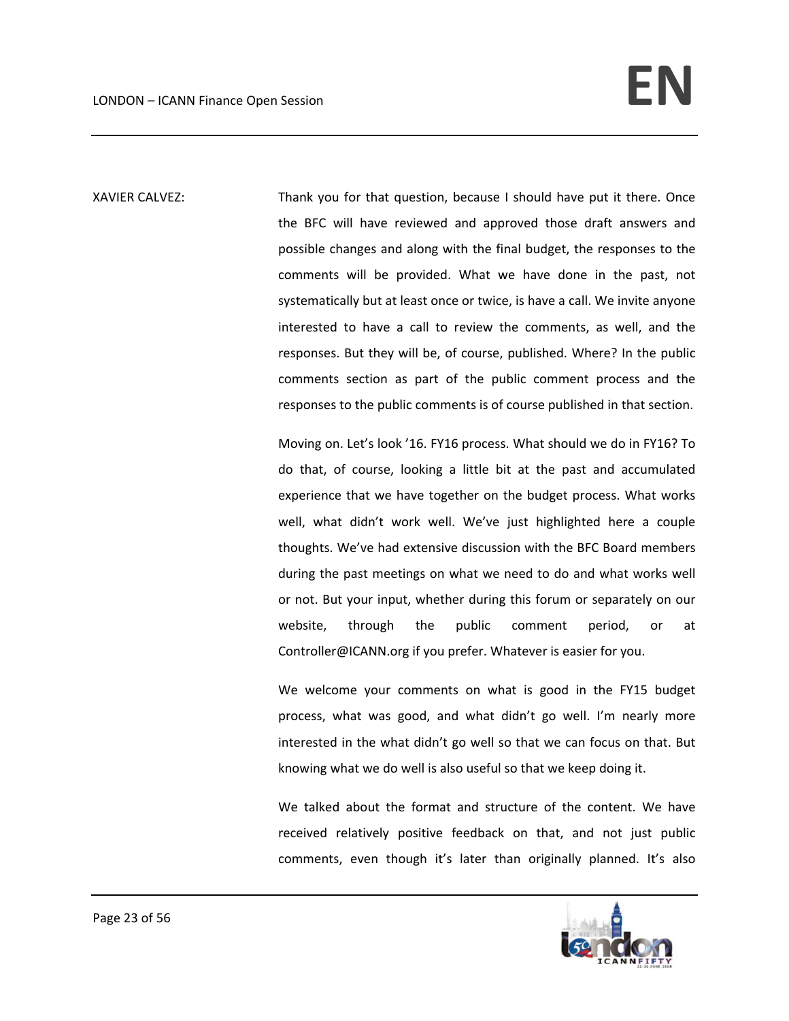XAVIER CALVEZ: Thank you for that question, because I should have put it there. Once the BFC will have reviewed and approved those draft answers and possible changes and along with the final budget, the responses to the comments will be provided. What we have done in the past, not systematically but at least once or twice, is have a call. We invite anyone interested to have a call to review the comments, as well, and the responses. But they will be, of course, published. Where? In the public comments section as part of the public comment process and the responses to the public comments is of course published in that section.

> Moving on. Let's look '16. FY16 process. What should we do in FY16? To do that, of course, looking a little bit at the past and accumulated experience that we have together on the budget process. What works well, what didn't work well. We've just highlighted here a couple thoughts. We've had extensive discussion with the BFC Board members during the past meetings on what we need to do and what works well or not. But your input, whether during this forum or separately on our website, through the public comment period, or at Controller@ICANN.org if you prefer. Whatever is easier for you.

> We welcome your comments on what is good in the FY15 budget process, what was good, and what didn't go well. I'm nearly more interested in the what didn't go well so that we can focus on that. But knowing what we do well is also useful so that we keep doing it.

> We talked about the format and structure of the content. We have received relatively positive feedback on that, and not just public comments, even though it's later than originally planned. It's also

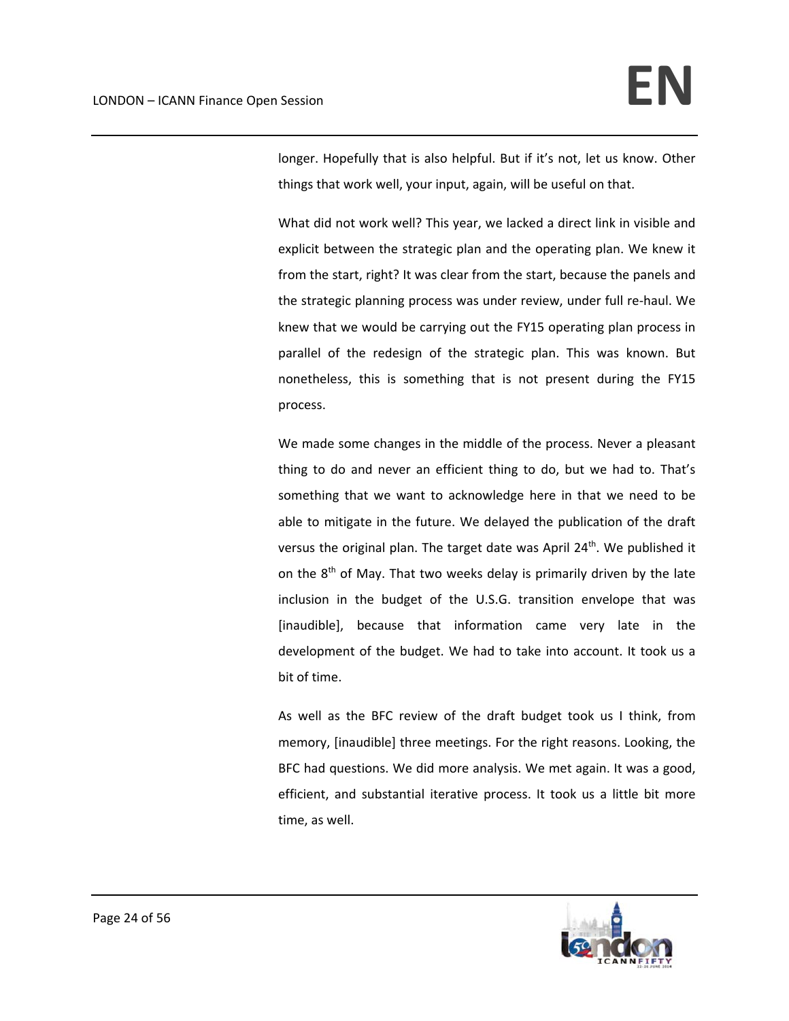longer. Hopefully that is also helpful. But if it's not, let us know. Other things that work well, your input, again, will be useful on that.

What did not work well? This year, we lacked a direct link in visible and explicit between the strategic plan and the operating plan. We knew it from the start, right? It was clear from the start, because the panels and the strategic planning process was under review, under full re‐haul. We knew that we would be carrying out the FY15 operating plan process in parallel of the redesign of the strategic plan. This was known. But nonetheless, this is something that is not present during the FY15 process.

We made some changes in the middle of the process. Never a pleasant thing to do and never an efficient thing to do, but we had to. That's something that we want to acknowledge here in that we need to be able to mitigate in the future. We delayed the publication of the draft versus the original plan. The target date was April 24<sup>th</sup>. We published it on the 8<sup>th</sup> of May. That two weeks delay is primarily driven by the late inclusion in the budget of the U.S.G. transition envelope that was [inaudible], because that information came very late in the development of the budget. We had to take into account. It took us a bit of time.

As well as the BFC review of the draft budget took us I think, from memory, [inaudible] three meetings. For the right reasons. Looking, the BFC had questions. We did more analysis. We met again. It was a good, efficient, and substantial iterative process. It took us a little bit more time, as well.

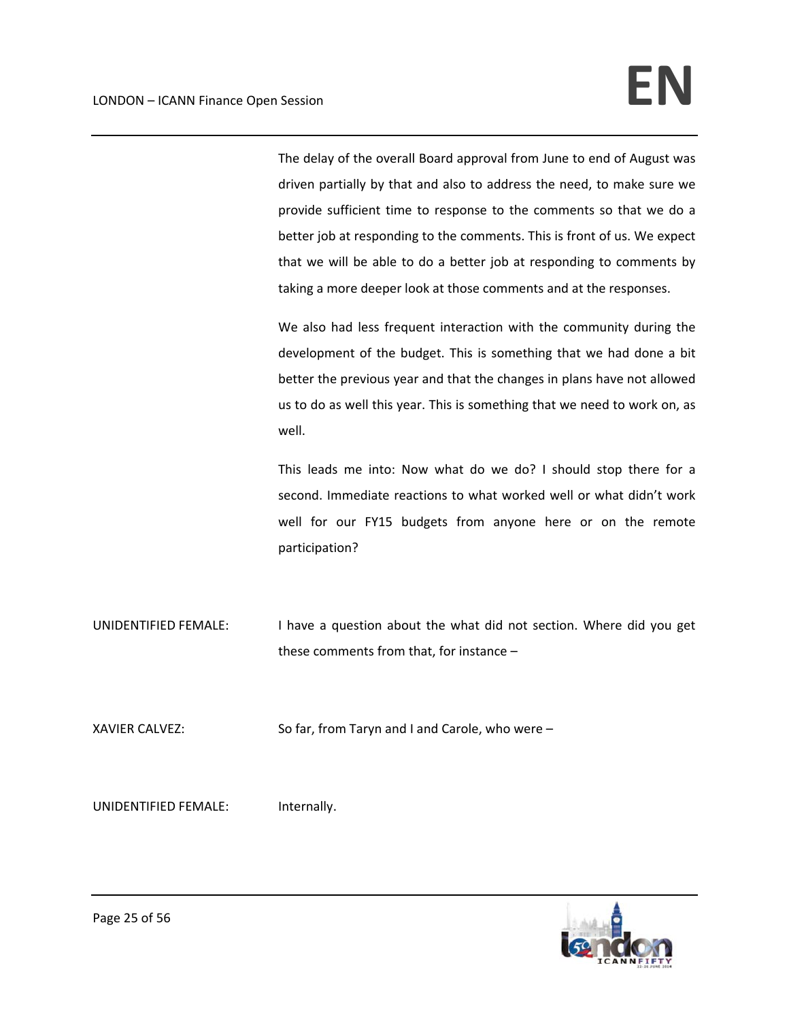The delay of the overall Board approval from June to end of August was driven partially by that and also to address the need, to make sure we provide sufficient time to response to the comments so that we do a better job at responding to the comments. This is front of us. We expect that we will be able to do a better job at responding to comments by taking a more deeper look at those comments and at the responses.

We also had less frequent interaction with the community during the development of the budget. This is something that we had done a bit better the previous year and that the changes in plans have not allowed us to do as well this year. This is something that we need to work on, as well.

This leads me into: Now what do we do? I should stop there for a second. Immediate reactions to what worked well or what didn't work well for our FY15 budgets from anyone here or on the remote participation?

UNIDENTIFIED FEMALE: I have a question about the what did not section. Where did you get these comments from that, for instance –

XAVIER CALVEZ: So far, from Taryn and I and Carole, who were –

UNIDENTIFIED FEMALE: Internally.

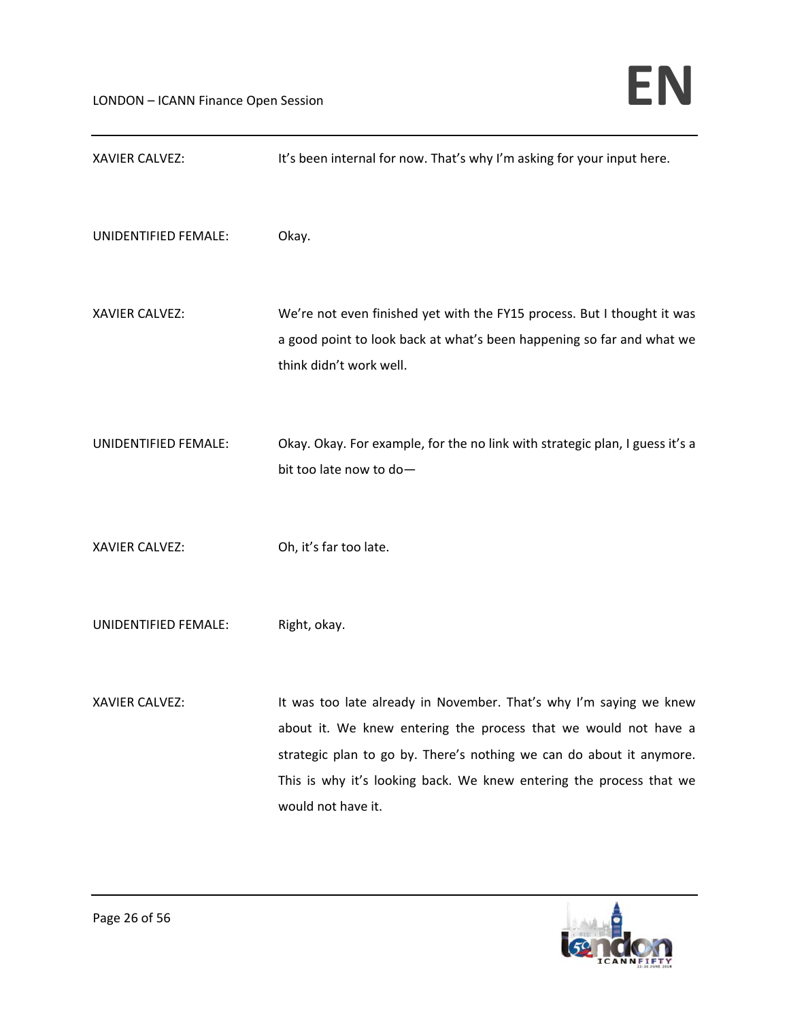| <b>XAVIER CALVEZ:</b> | It's been internal for now. That's why I'm asking for your input here.                                                                                                                                                                                                                                     |
|-----------------------|------------------------------------------------------------------------------------------------------------------------------------------------------------------------------------------------------------------------------------------------------------------------------------------------------------|
| UNIDENTIFIED FEMALE:  | Okay.                                                                                                                                                                                                                                                                                                      |
| <b>XAVIER CALVEZ:</b> | We're not even finished yet with the FY15 process. But I thought it was<br>a good point to look back at what's been happening so far and what we<br>think didn't work well.                                                                                                                                |
| UNIDENTIFIED FEMALE:  | Okay. Okay. For example, for the no link with strategic plan, I guess it's a<br>bit too late now to do-                                                                                                                                                                                                    |
| <b>XAVIER CALVEZ:</b> | Oh, it's far too late.                                                                                                                                                                                                                                                                                     |
| UNIDENTIFIED FEMALE:  | Right, okay.                                                                                                                                                                                                                                                                                               |
| <b>XAVIER CALVEZ:</b> | It was too late already in November. That's why I'm saying we knew<br>about it. We knew entering the process that we would not have a<br>strategic plan to go by. There's nothing we can do about it anymore.<br>This is why it's looking back. We knew entering the process that we<br>would not have it. |

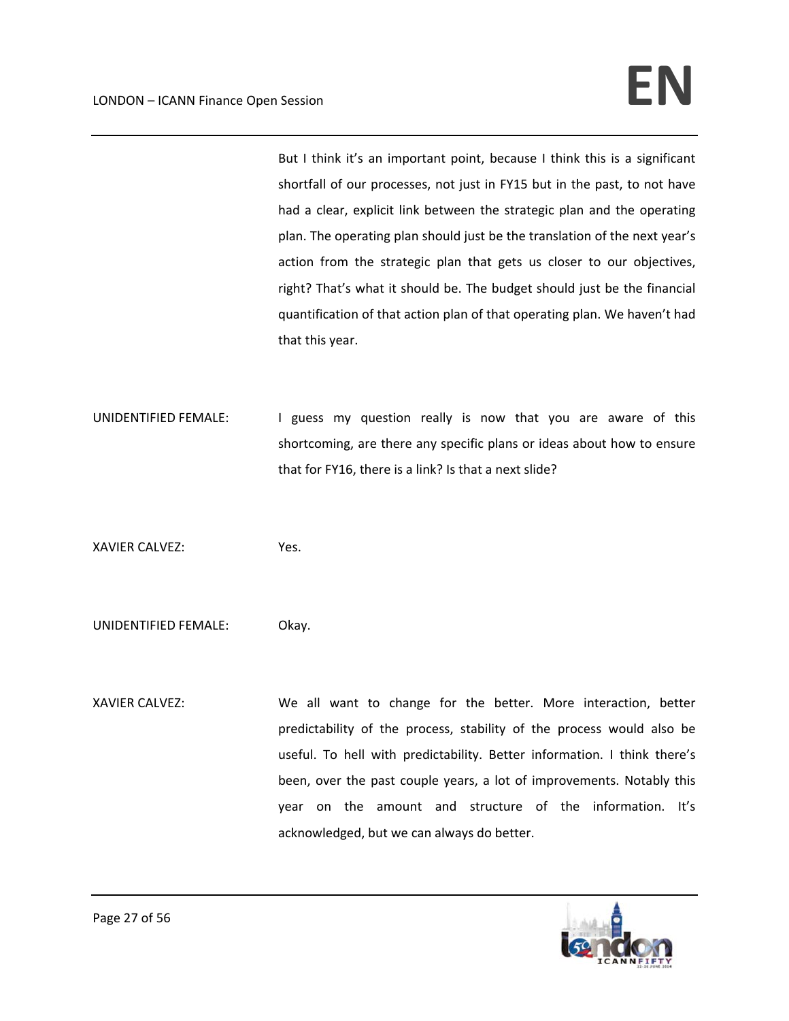But I think it's an important point, because I think this is a significant shortfall of our processes, not just in FY15 but in the past, to not have had a clear, explicit link between the strategic plan and the operating plan. The operating plan should just be the translation of the next year's action from the strategic plan that gets us closer to our objectives, right? That's what it should be. The budget should just be the financial quantification of that action plan of that operating plan. We haven't had that this year.

UNIDENTIFIED FEMALE: I guess my question really is now that you are aware of this shortcoming, are there any specific plans or ideas about how to ensure that for FY16, there is a link? Is that a next slide?

XAVIER CALVEZ: Yes.

UNIDENTIFIED FEMALE: Okay.

XAVIER CALVEZ: We all want to change for the better. More interaction, better predictability of the process, stability of the process would also be useful. To hell with predictability. Better information. I think there's been, over the past couple years, a lot of improvements. Notably this year on the amount and structure of the information. It's acknowledged, but we can always do better.

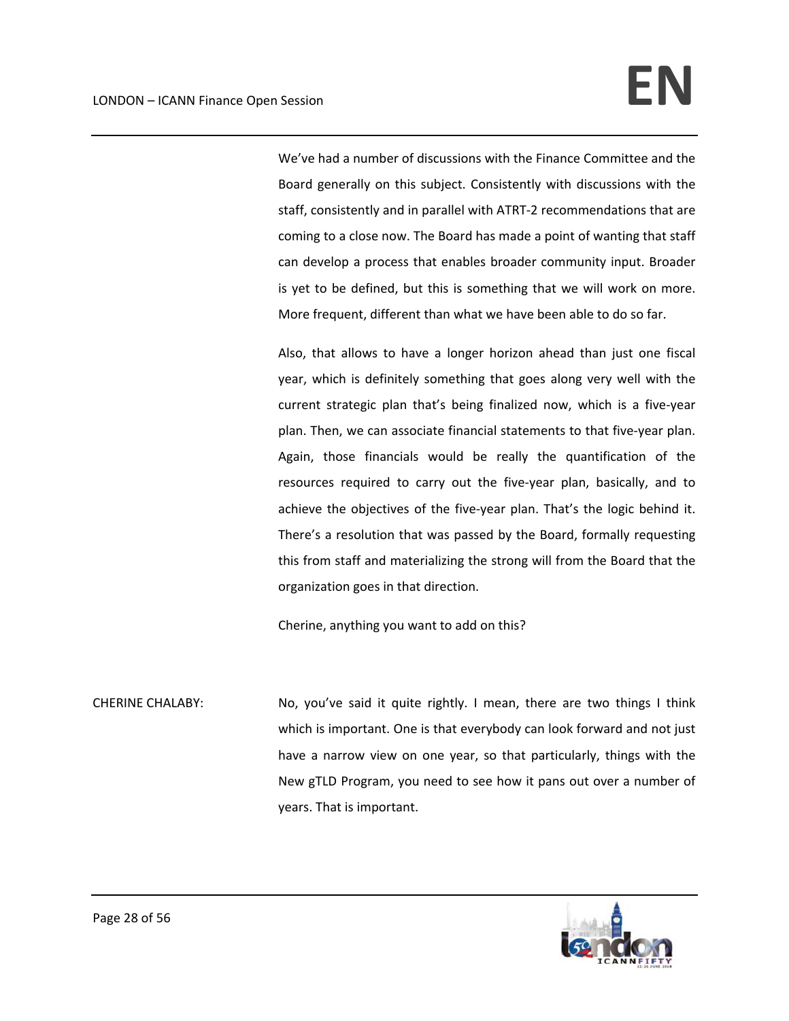We've had a number of discussions with the Finance Committee and the Board generally on this subject. Consistently with discussions with the staff, consistently and in parallel with ATRT‐2 recommendations that are coming to a close now. The Board has made a point of wanting that staff can develop a process that enables broader community input. Broader is yet to be defined, but this is something that we will work on more. More frequent, different than what we have been able to do so far.

Also, that allows to have a longer horizon ahead than just one fiscal year, which is definitely something that goes along very well with the current strategic plan that's being finalized now, which is a five‐year plan. Then, we can associate financial statements to that five‐year plan. Again, those financials would be really the quantification of the resources required to carry out the five-year plan, basically, and to achieve the objectives of the five‐year plan. That's the logic behind it. There's a resolution that was passed by the Board, formally requesting this from staff and materializing the strong will from the Board that the organization goes in that direction.

Cherine, anything you want to add on this?

CHERINE CHALABY: No, you've said it quite rightly. I mean, there are two things I think which is important. One is that everybody can look forward and not just have a narrow view on one year, so that particularly, things with the New gTLD Program, you need to see how it pans out over a number of years. That is important.

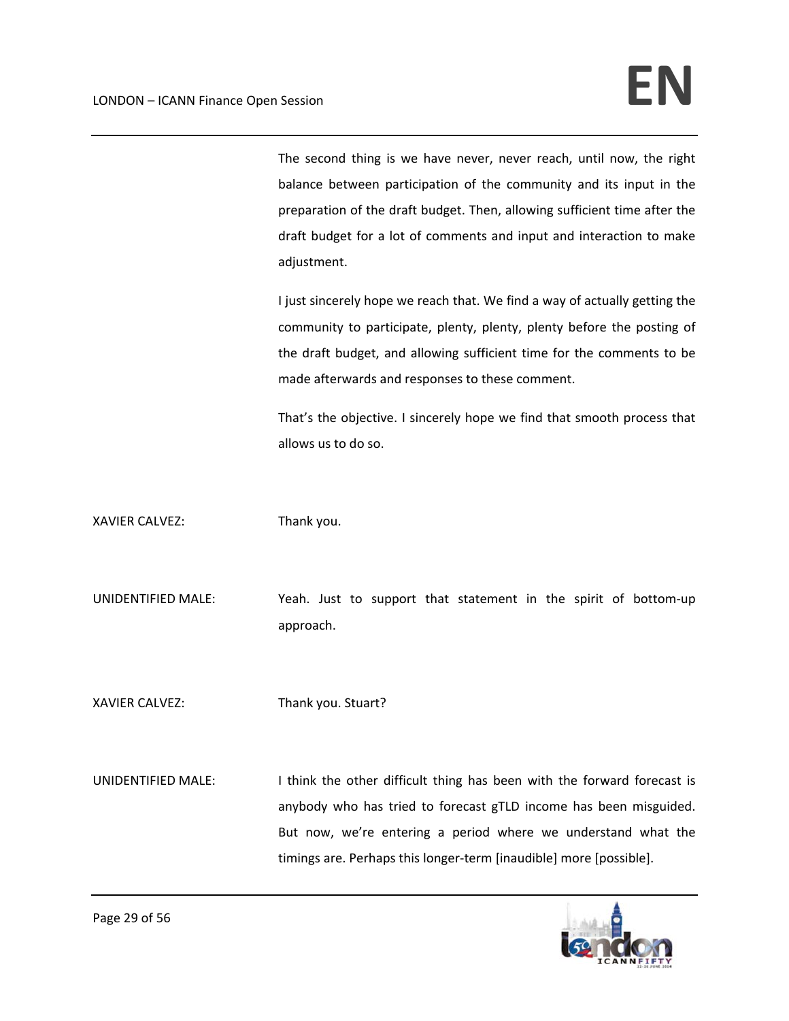The second thing is we have never, never reach, until now, the right balance between participation of the community and its input in the preparation of the draft budget. Then, allowing sufficient time after the draft budget for a lot of comments and input and interaction to make adjustment.

I just sincerely hope we reach that. We find a way of actually getting the community to participate, plenty, plenty, plenty before the posting of the draft budget, and allowing sufficient time for the comments to be made afterwards and responses to these comment.

That's the objective. I sincerely hope we find that smooth process that allows us to do so.

XAVIER CALVEZ: Thank you.

UNIDENTIFIED MALE: Yeah. Just to support that statement in the spirit of bottom‐up approach.

XAVIER CALVEZ: Thank you. Stuart?

UNIDENTIFIED MALE: I think the other difficult thing has been with the forward forecast is anybody who has tried to forecast gTLD income has been misguided. But now, we're entering a period where we understand what the timings are. Perhaps this longer‐term [inaudible] more [possible].

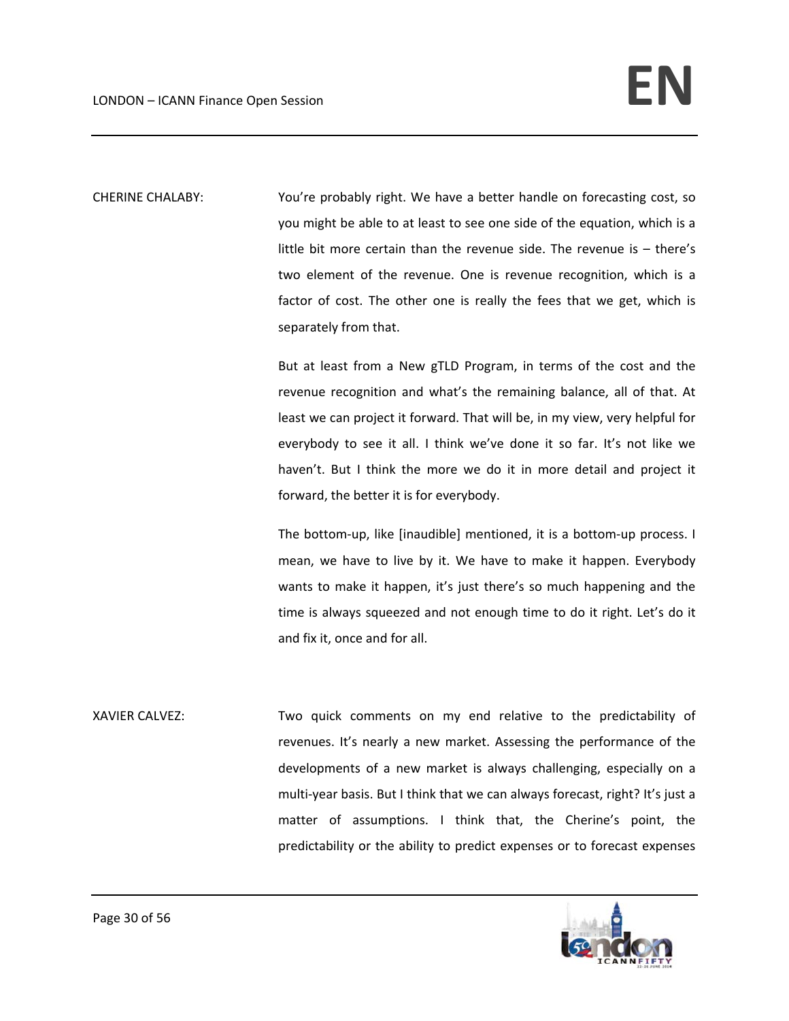CHERINE CHALABY: You're probably right. We have a better handle on forecasting cost, so you might be able to at least to see one side of the equation, which is a little bit more certain than the revenue side. The revenue is – there's two element of the revenue. One is revenue recognition, which is a factor of cost. The other one is really the fees that we get, which is separately from that.

> But at least from a New gTLD Program, in terms of the cost and the revenue recognition and what's the remaining balance, all of that. At least we can project it forward. That will be, in my view, very helpful for everybody to see it all. I think we've done it so far. It's not like we haven't. But I think the more we do it in more detail and project it forward, the better it is for everybody.

> The bottom‐up, like [inaudible] mentioned, it is a bottom‐up process. I mean, we have to live by it. We have to make it happen. Everybody wants to make it happen, it's just there's so much happening and the time is always squeezed and not enough time to do it right. Let's do it and fix it, once and for all.

XAVIER CALVEZ: Two quick comments on my end relative to the predictability of revenues. It's nearly a new market. Assessing the performance of the developments of a new market is always challenging, especially on a multi‐year basis. But I think that we can always forecast, right? It's just a matter of assumptions. I think that, the Cherine's point, the predictability or the ability to predict expenses or to forecast expenses

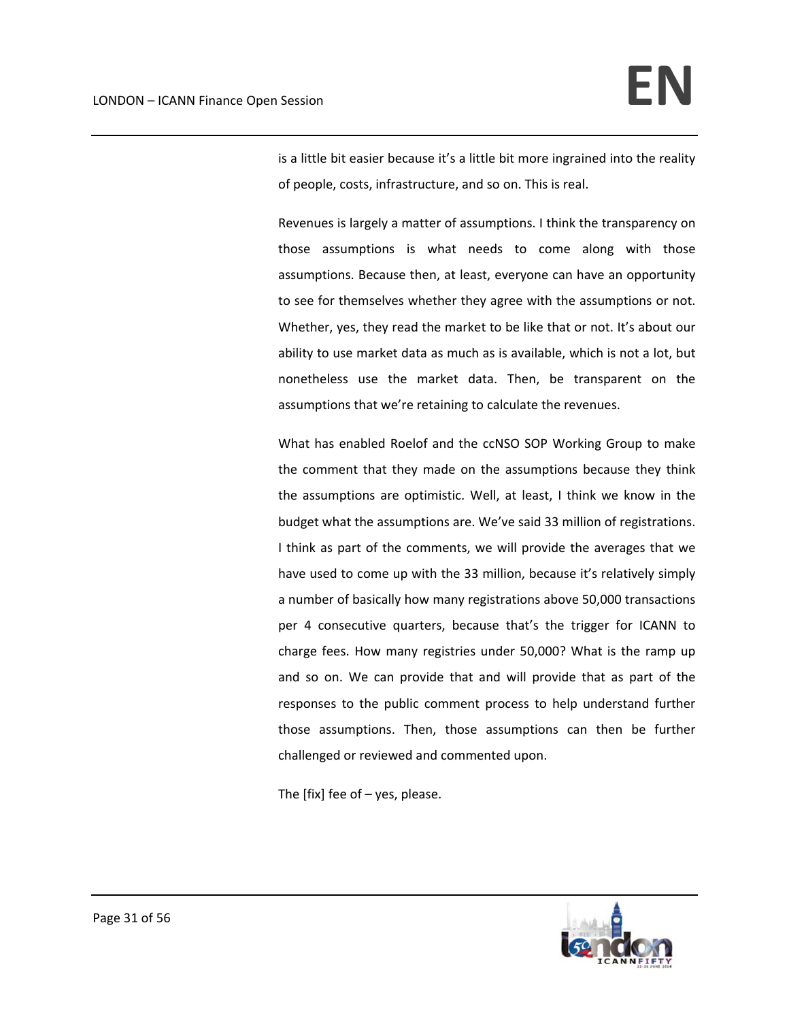is a little bit easier because it's a little bit more ingrained into the reality of people, costs, infrastructure, and so on. This is real.

Revenues is largely a matter of assumptions. I think the transparency on those assumptions is what needs to come along with those assumptions. Because then, at least, everyone can have an opportunity to see for themselves whether they agree with the assumptions or not. Whether, yes, they read the market to be like that or not. It's about our ability to use market data as much as is available, which is not a lot, but nonetheless use the market data. Then, be transparent on the assumptions that we're retaining to calculate the revenues.

What has enabled Roelof and the ccNSO SOP Working Group to make the comment that they made on the assumptions because they think the assumptions are optimistic. Well, at least, I think we know in the budget what the assumptions are. We've said 33 million of registrations. I think as part of the comments, we will provide the averages that we have used to come up with the 33 million, because it's relatively simply a number of basically how many registrations above 50,000 transactions per 4 consecutive quarters, because that's the trigger for ICANN to charge fees. How many registries under 50,000? What is the ramp up and so on. We can provide that and will provide that as part of the responses to the public comment process to help understand further those assumptions. Then, those assumptions can then be further challenged or reviewed and commented upon.

The [fix] fee of  $-$  yes, please.

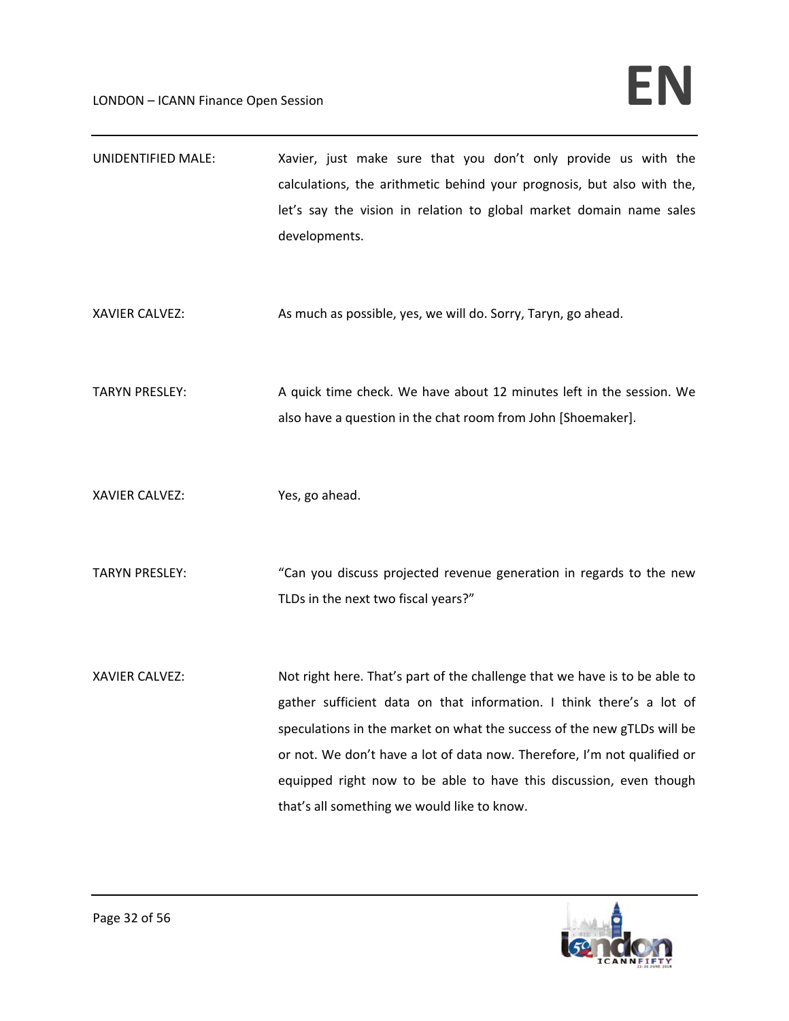| UNIDENTIFIED MALE:    | Xavier, just make sure that you don't only provide us with the<br>calculations, the arithmetic behind your prognosis, but also with the,<br>let's say the vision in relation to global market domain name sales<br>developments.                                                                                                                                                                                               |
|-----------------------|--------------------------------------------------------------------------------------------------------------------------------------------------------------------------------------------------------------------------------------------------------------------------------------------------------------------------------------------------------------------------------------------------------------------------------|
| <b>XAVIER CALVEZ:</b> | As much as possible, yes, we will do. Sorry, Taryn, go ahead.                                                                                                                                                                                                                                                                                                                                                                  |
| <b>TARYN PRESLEY:</b> | A quick time check. We have about 12 minutes left in the session. We<br>also have a question in the chat room from John [Shoemaker].                                                                                                                                                                                                                                                                                           |
| XAVIER CALVEZ:        | Yes, go ahead.                                                                                                                                                                                                                                                                                                                                                                                                                 |
| <b>TARYN PRESLEY:</b> | "Can you discuss projected revenue generation in regards to the new<br>TLDs in the next two fiscal years?"                                                                                                                                                                                                                                                                                                                     |
| <b>XAVIER CALVEZ:</b> | Not right here. That's part of the challenge that we have is to be able to<br>gather sufficient data on that information. I think there's a lot of<br>speculations in the market on what the success of the new gTLDs will be<br>or not. We don't have a lot of data now. Therefore, I'm not qualified or<br>equipped right now to be able to have this discussion, even though<br>that's all something we would like to know. |

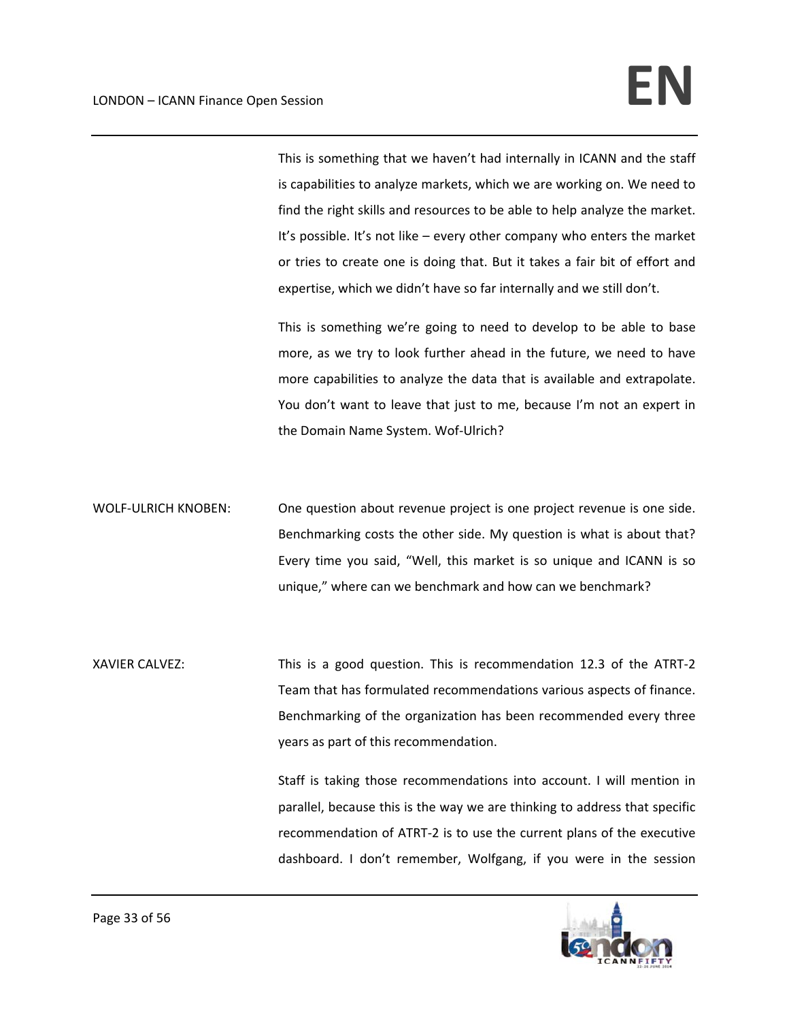This is something that we haven't had internally in ICANN and the staff is capabilities to analyze markets, which we are working on. We need to find the right skills and resources to be able to help analyze the market. It's possible. It's not like – every other company who enters the market or tries to create one is doing that. But it takes a fair bit of effort and expertise, which we didn't have so far internally and we still don't.

This is something we're going to need to develop to be able to base more, as we try to look further ahead in the future, we need to have more capabilities to analyze the data that is available and extrapolate. You don't want to leave that just to me, because I'm not an expert in the Domain Name System. Wof‐Ulrich?

WOLF-ULRICH KNOBEN: One question about revenue project is one project revenue is one side. Benchmarking costs the other side. My question is what is about that? Every time you said, "Well, this market is so unique and ICANN is so unique," where can we benchmark and how can we benchmark?

XAVIER CALVEZ: This is a good question. This is recommendation 12.3 of the ATRT-2 Team that has formulated recommendations various aspects of finance. Benchmarking of the organization has been recommended every three years as part of this recommendation.

> Staff is taking those recommendations into account. I will mention in parallel, because this is the way we are thinking to address that specific recommendation of ATRT‐2 is to use the current plans of the executive dashboard. I don't remember, Wolfgang, if you were in the session

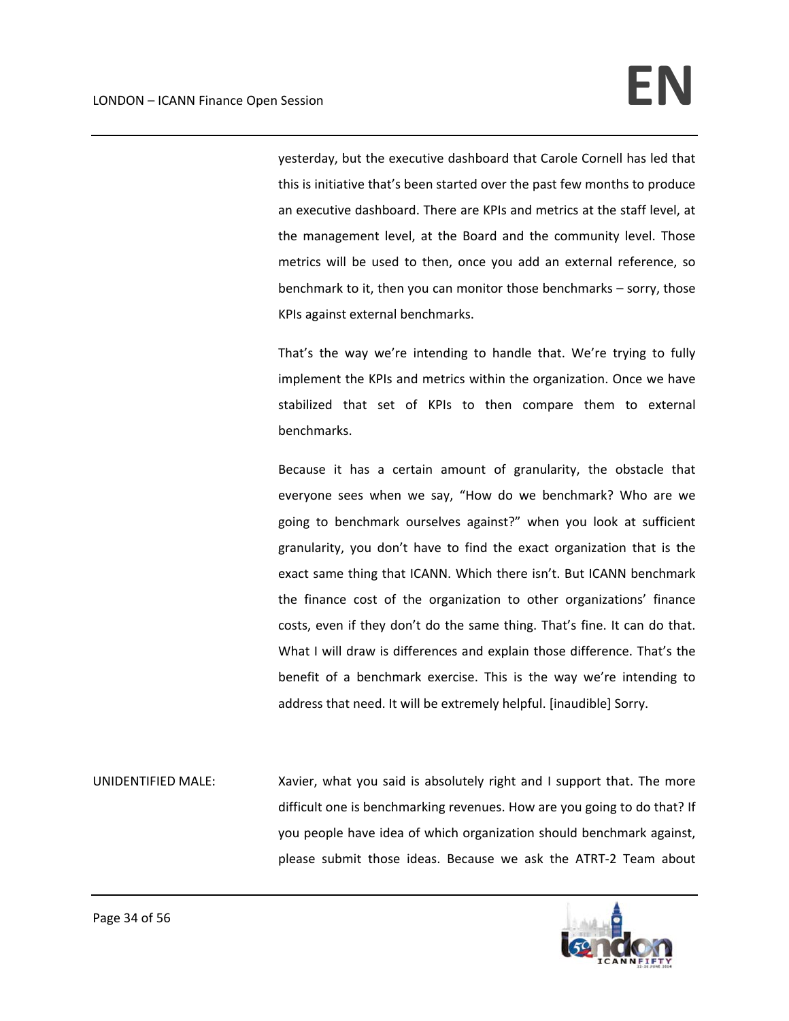yesterday, but the executive dashboard that Carole Cornell has led that this is initiative that's been started over the past few months to produce an executive dashboard. There are KPIs and metrics at the staff level, at the management level, at the Board and the community level. Those metrics will be used to then, once you add an external reference, so benchmark to it, then you can monitor those benchmarks – sorry, those KPIs against external benchmarks.

That's the way we're intending to handle that. We're trying to fully implement the KPIs and metrics within the organization. Once we have stabilized that set of KPIs to then compare them to external benchmarks.

Because it has a certain amount of granularity, the obstacle that everyone sees when we say, "How do we benchmark? Who are we going to benchmark ourselves against?" when you look at sufficient granularity, you don't have to find the exact organization that is the exact same thing that ICANN. Which there isn't. But ICANN benchmark the finance cost of the organization to other organizations' finance costs, even if they don't do the same thing. That's fine. It can do that. What I will draw is differences and explain those difference. That's the benefit of a benchmark exercise. This is the way we're intending to address that need. It will be extremely helpful. [inaudible] Sorry.

UNIDENTIFIED MALE: Xavier, what you said is absolutely right and I support that. The more difficult one is benchmarking revenues. How are you going to do that? If you people have idea of which organization should benchmark against, please submit those ideas. Because we ask the ATRT‐2 Team about

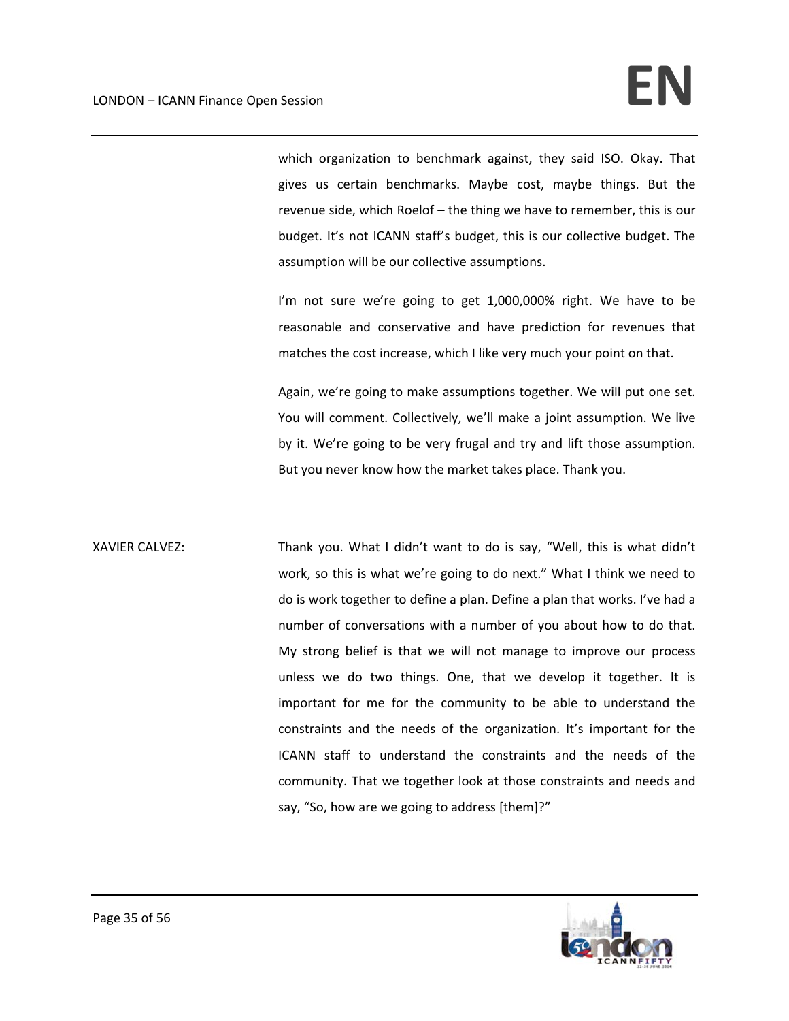which organization to benchmark against, they said ISO. Okay. That gives us certain benchmarks. Maybe cost, maybe things. But the revenue side, which Roelof – the thing we have to remember, this is our budget. It's not ICANN staff's budget, this is our collective budget. The assumption will be our collective assumptions.

I'm not sure we're going to get 1,000,000% right. We have to be reasonable and conservative and have prediction for revenues that matches the cost increase, which I like very much your point on that.

Again, we're going to make assumptions together. We will put one set. You will comment. Collectively, we'll make a joint assumption. We live by it. We're going to be very frugal and try and lift those assumption. But you never know how the market takes place. Thank you.

XAVIER CALVEZ: Thank you. What I didn't want to do is say, "Well, this is what didn't work, so this is what we're going to do next." What I think we need to do is work together to define a plan. Define a plan that works. I've had a number of conversations with a number of you about how to do that. My strong belief is that we will not manage to improve our process unless we do two things. One, that we develop it together. It is important for me for the community to be able to understand the constraints and the needs of the organization. It's important for the ICANN staff to understand the constraints and the needs of the community. That we together look at those constraints and needs and say, "So, how are we going to address [them]?"

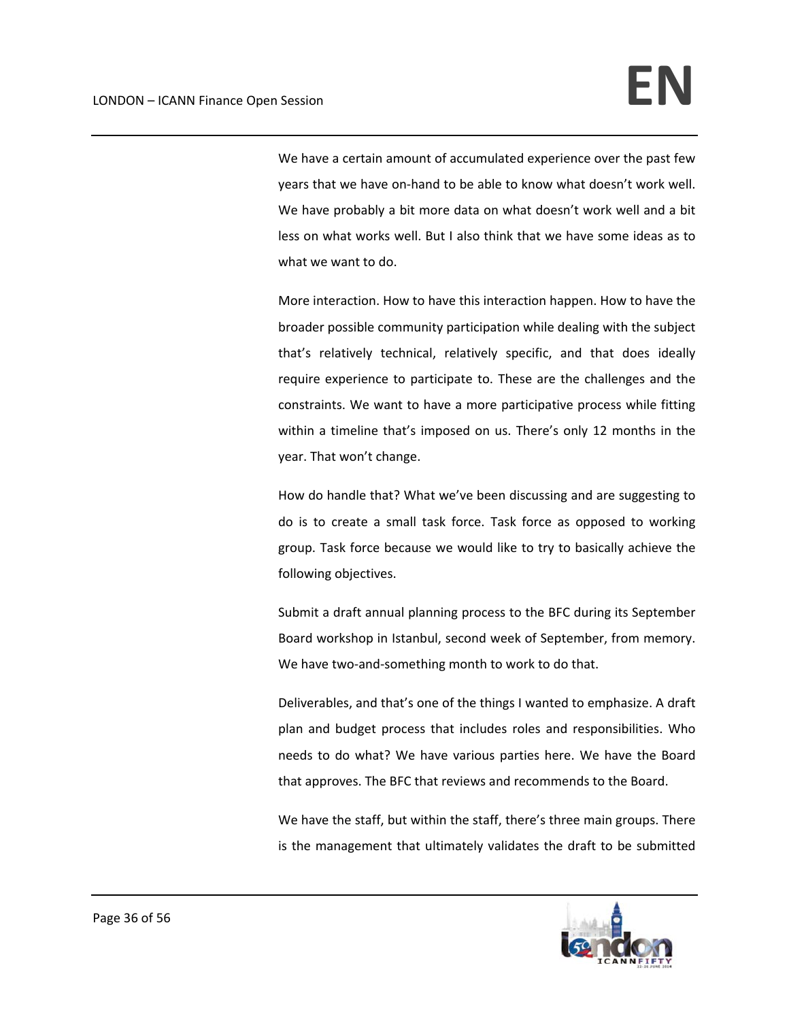We have a certain amount of accumulated experience over the past few years that we have on-hand to be able to know what doesn't work well. We have probably a bit more data on what doesn't work well and a bit less on what works well. But I also think that we have some ideas as to what we want to do.

More interaction. How to have this interaction happen. How to have the broader possible community participation while dealing with the subject that's relatively technical, relatively specific, and that does ideally require experience to participate to. These are the challenges and the constraints. We want to have a more participative process while fitting within a timeline that's imposed on us. There's only 12 months in the year. That won't change.

How do handle that? What we've been discussing and are suggesting to do is to create a small task force. Task force as opposed to working group. Task force because we would like to try to basically achieve the following objectives.

Submit a draft annual planning process to the BFC during its September Board workshop in Istanbul, second week of September, from memory. We have two-and-something month to work to do that.

Deliverables, and that's one of the things I wanted to emphasize. A draft plan and budget process that includes roles and responsibilities. Who needs to do what? We have various parties here. We have the Board that approves. The BFC that reviews and recommends to the Board.

We have the staff, but within the staff, there's three main groups. There is the management that ultimately validates the draft to be submitted

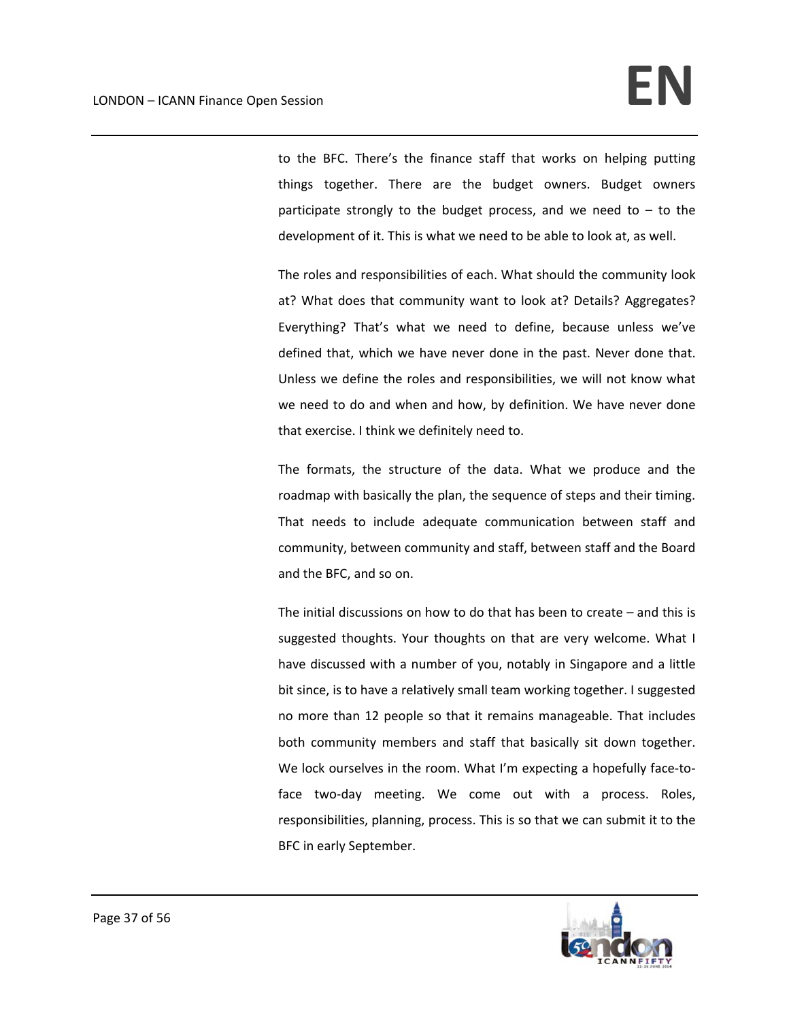to the BFC. There's the finance staff that works on helping putting things together. There are the budget owners. Budget owners participate strongly to the budget process, and we need to  $-$  to the development of it. This is what we need to be able to look at, as well.

The roles and responsibilities of each. What should the community look at? What does that community want to look at? Details? Aggregates? Everything? That's what we need to define, because unless we've defined that, which we have never done in the past. Never done that. Unless we define the roles and responsibilities, we will not know what we need to do and when and how, by definition. We have never done that exercise. I think we definitely need to.

The formats, the structure of the data. What we produce and the roadmap with basically the plan, the sequence of steps and their timing. That needs to include adequate communication between staff and community, between community and staff, between staff and the Board and the BFC, and so on.

The initial discussions on how to do that has been to create – and this is suggested thoughts. Your thoughts on that are very welcome. What I have discussed with a number of you, notably in Singapore and a little bit since, is to have a relatively small team working together. I suggested no more than 12 people so that it remains manageable. That includes both community members and staff that basically sit down together. We lock ourselves in the room. What I'm expecting a hopefully face-toface two-day meeting. We come out with a process. Roles, responsibilities, planning, process. This is so that we can submit it to the BFC in early September.

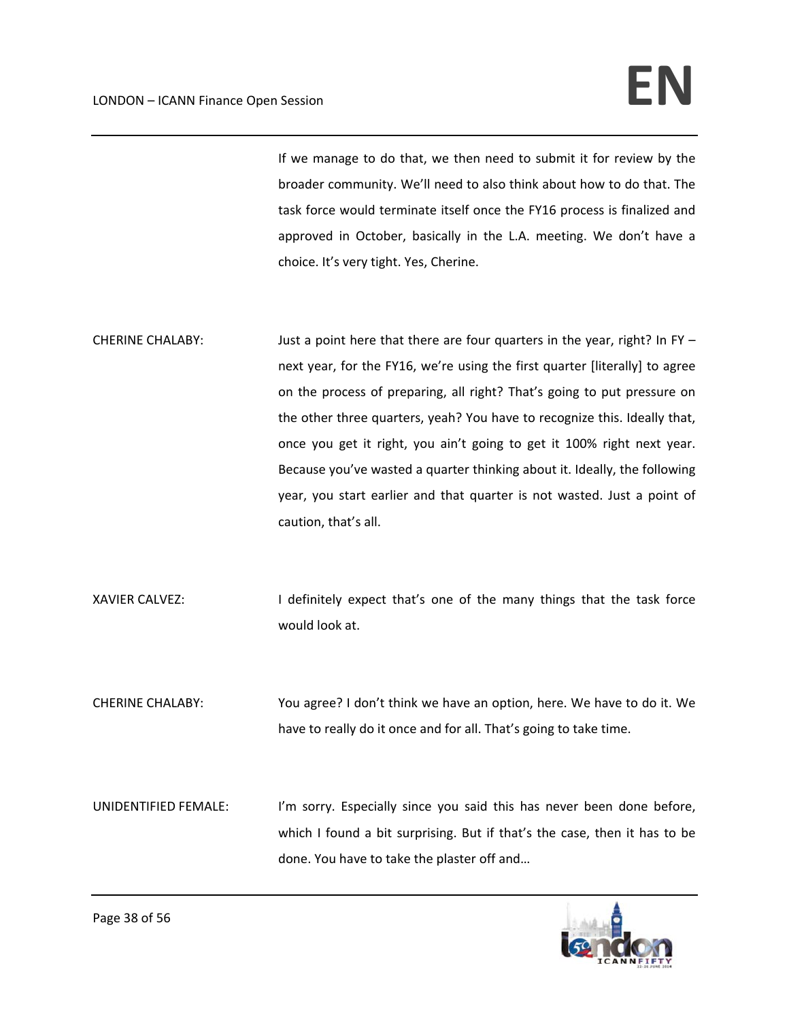## LONDON – ICANN Finance Open Session **EN**

If we manage to do that, we then need to submit it for review by the broader community. We'll need to also think about how to do that. The task force would terminate itself once the FY16 process is finalized and approved in October, basically in the L.A. meeting. We don't have a choice. It's very tight. Yes, Cherine.

- CHERINE CHALABY: Just a point here that there are four quarters in the year, right? In FY next year, for the FY16, we're using the first quarter [literally] to agree on the process of preparing, all right? That's going to put pressure on the other three quarters, yeah? You have to recognize this. Ideally that, once you get it right, you ain't going to get it 100% right next year. Because you've wasted a quarter thinking about it. Ideally, the following year, you start earlier and that quarter is not wasted. Just a point of caution, that's all.
- XAVIER CALVEZ: I definitely expect that's one of the many things that the task force would look at.
- CHERINE CHALABY: You agree? I don't think we have an option, here. We have to do it. We have to really do it once and for all. That's going to take time.
- UNIDENTIFIED FEMALE: I'm sorry. Especially since you said this has never been done before, which I found a bit surprising. But if that's the case, then it has to be done. You have to take the plaster off and…

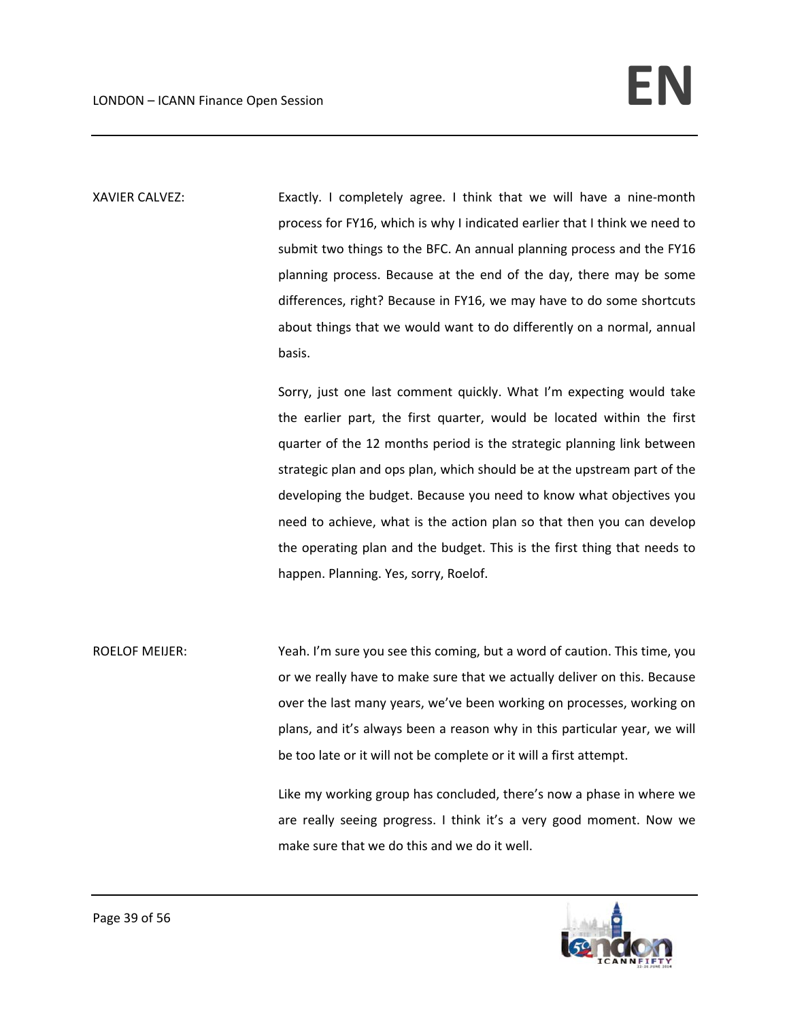XAVIER CALVEZ: Exactly. I completely agree. I think that we will have a nine-month process for FY16, which is why I indicated earlier that I think we need to submit two things to the BFC. An annual planning process and the FY16 planning process. Because at the end of the day, there may be some differences, right? Because in FY16, we may have to do some shortcuts about things that we would want to do differently on a normal, annual basis.

> Sorry, just one last comment quickly. What I'm expecting would take the earlier part, the first quarter, would be located within the first quarter of the 12 months period is the strategic planning link between strategic plan and ops plan, which should be at the upstream part of the developing the budget. Because you need to know what objectives you need to achieve, what is the action plan so that then you can develop the operating plan and the budget. This is the first thing that needs to happen. Planning. Yes, sorry, Roelof.

ROELOF MEIJER: Yeah. I'm sure you see this coming, but a word of caution. This time, you or we really have to make sure that we actually deliver on this. Because over the last many years, we've been working on processes, working on plans, and it's always been a reason why in this particular year, we will be too late or it will not be complete or it will a first attempt.

> Like my working group has concluded, there's now a phase in where we are really seeing progress. I think it's a very good moment. Now we make sure that we do this and we do it well.

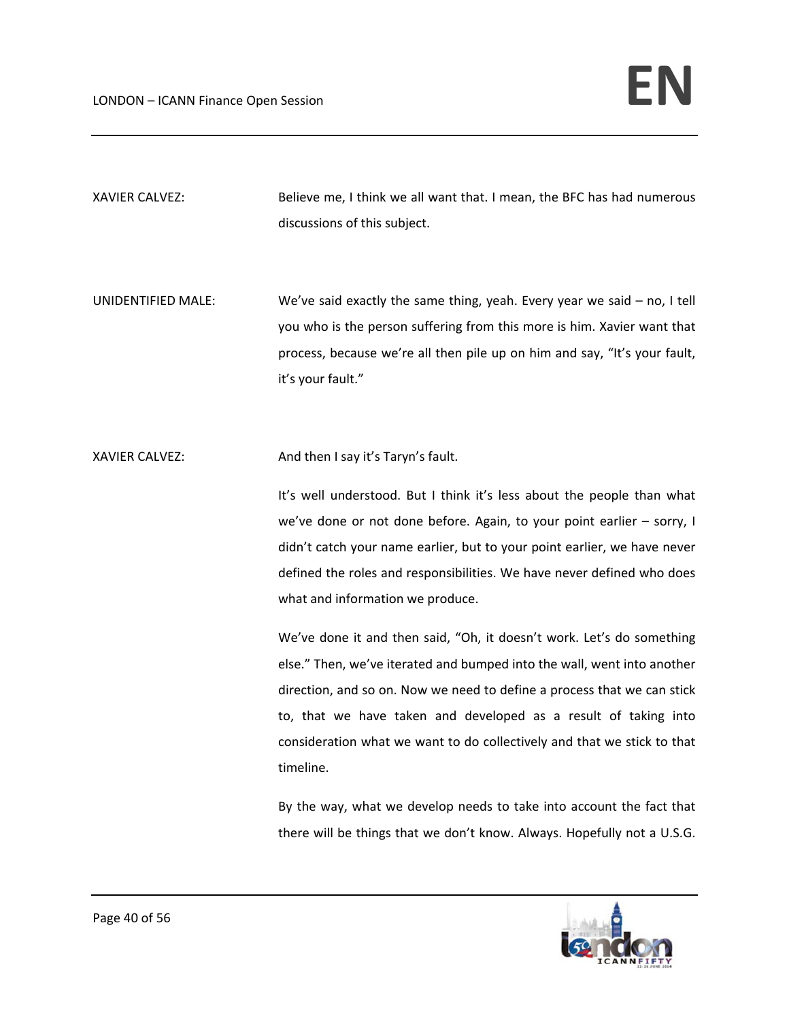XAVIER CALVEZ: Believe me, I think we all want that. I mean, the BFC has had numerous discussions of this subject.

UNIDENTIFIED MALE: We've said exactly the same thing, yeah. Every year we said – no, I tell you who is the person suffering from this more is him. Xavier want that process, because we're all then pile up on him and say, "It's your fault, it's your fault."

XAVIER CALVEZ: And then I say it's Taryn's fault.

It's well understood. But I think it's less about the people than what we've done or not done before. Again, to your point earlier – sorry, I didn't catch your name earlier, but to your point earlier, we have never defined the roles and responsibilities. We have never defined who does what and information we produce.

We've done it and then said, "Oh, it doesn't work. Let's do something else." Then, we've iterated and bumped into the wall, went into another direction, and so on. Now we need to define a process that we can stick to, that we have taken and developed as a result of taking into consideration what we want to do collectively and that we stick to that timeline.

By the way, what we develop needs to take into account the fact that there will be things that we don't know. Always. Hopefully not a U.S.G.

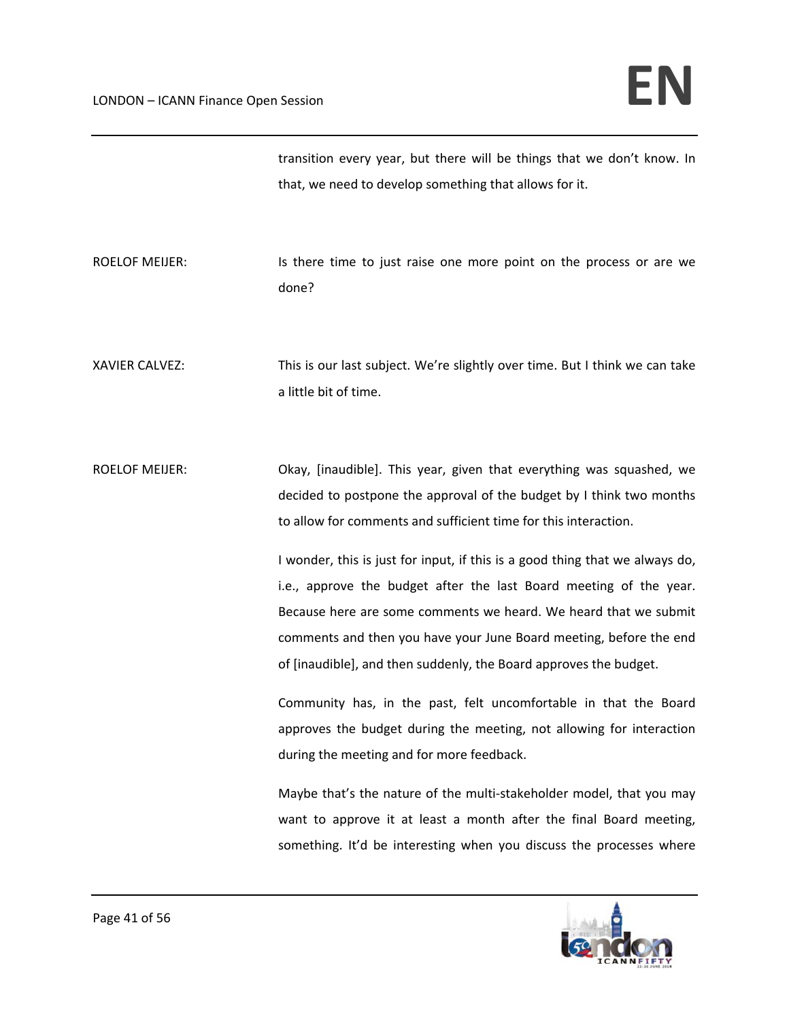transition every year, but there will be things that we don't know. In that, we need to develop something that allows for it.

ROELOF MEIJER: Is there time to just raise one more point on the process or are we done?

XAVIER CALVEZ: This is our last subject. We're slightly over time. But I think we can take a little bit of time.

ROELOF MEIJER: Okay, [inaudible]. This year, given that everything was squashed, we decided to postpone the approval of the budget by I think two months to allow for comments and sufficient time for this interaction.

> I wonder, this is just for input, if this is a good thing that we always do, i.e., approve the budget after the last Board meeting of the year. Because here are some comments we heard. We heard that we submit comments and then you have your June Board meeting, before the end of [inaudible], and then suddenly, the Board approves the budget.

> Community has, in the past, felt uncomfortable in that the Board approves the budget during the meeting, not allowing for interaction during the meeting and for more feedback.

> Maybe that's the nature of the multi‐stakeholder model, that you may want to approve it at least a month after the final Board meeting, something. It'd be interesting when you discuss the processes where

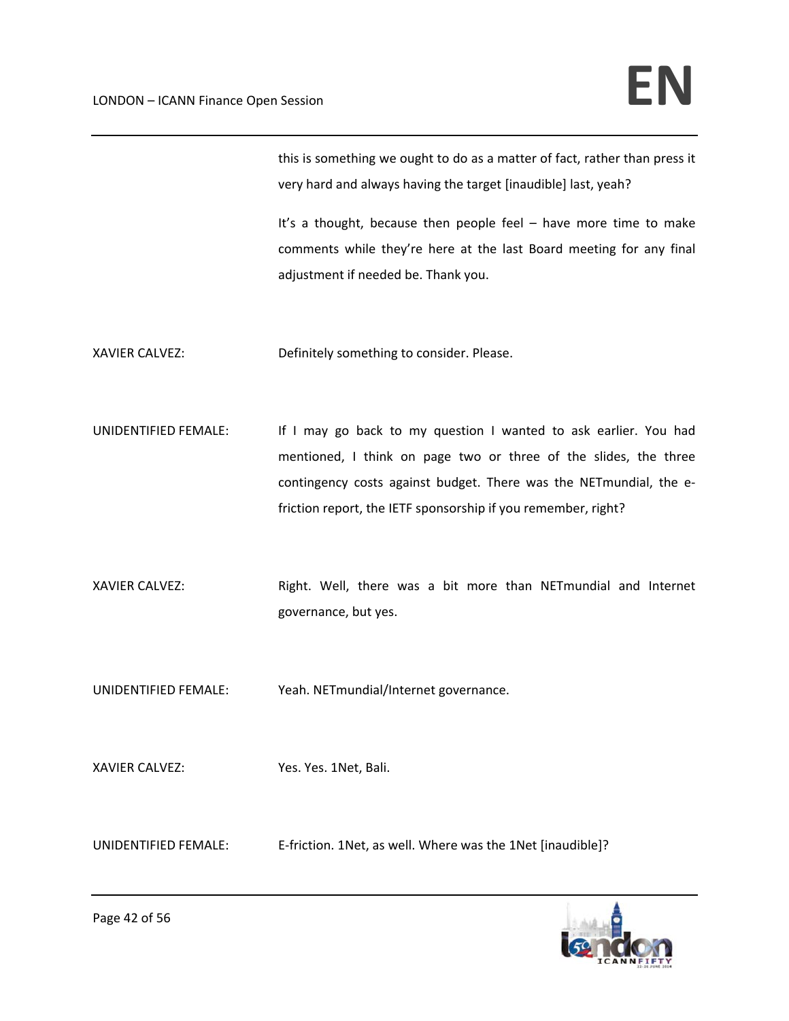this is something we ought to do as a matter of fact, rather than press it very hard and always having the target [inaudible] last, yeah?

It's a thought, because then people feel – have more time to make comments while they're here at the last Board meeting for any final adjustment if needed be. Thank you.

XAVIER CALVEZ: Definitely something to consider. Please.

- UNIDENTIFIED FEMALE: If I may go back to my question I wanted to ask earlier. You had mentioned, I think on page two or three of the slides, the three contingency costs against budget. There was the NETmundial, the e‐ friction report, the IETF sponsorship if you remember, right?
- XAVIER CALVEZ: Right. Well, there was a bit more than NETmundial and Internet governance, but yes.

UNIDENTIFIED FEMALE: Yeah. NETmundial/Internet governance.

XAVIER CALVEZ: Yes. Yes. 1Net, Bali.

UNIDENTIFIED FEMALE: E-friction. 1Net, as well. Where was the 1Net [inaudible]?

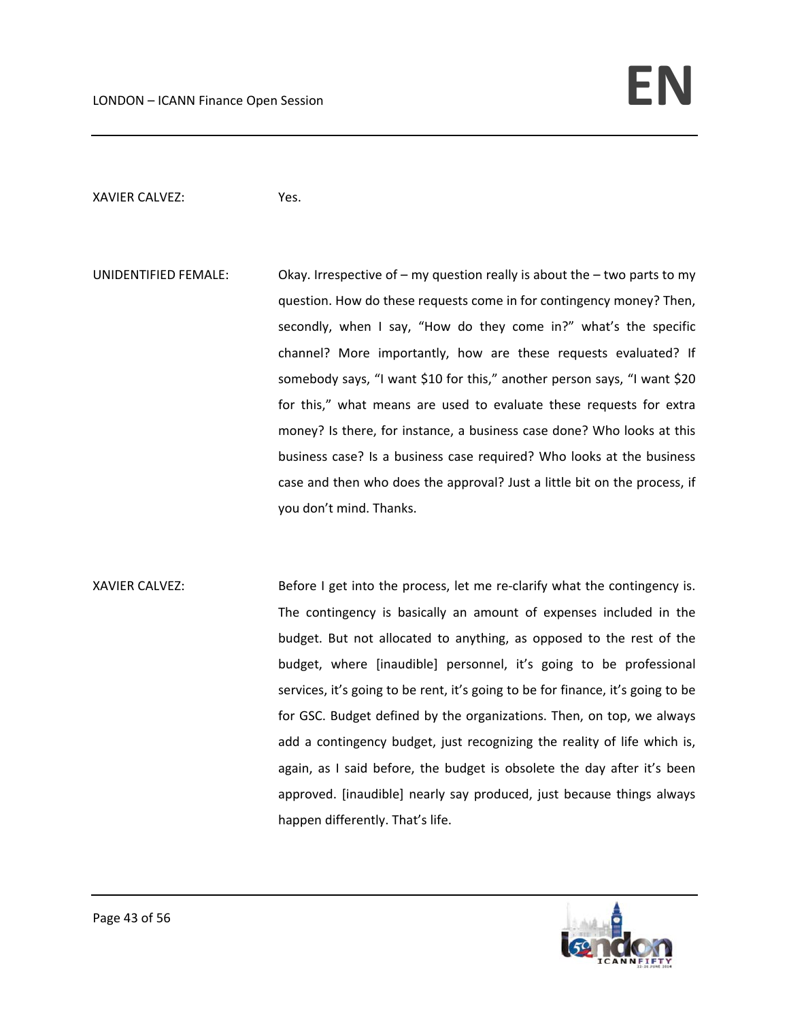XAVIER CALVEZ: Yes.

UNIDENTIFIED FEMALE: Okay. Irrespective of – my question really is about the – two parts to my question. How do these requests come in for contingency money? Then, secondly, when I say, "How do they come in?" what's the specific channel? More importantly, how are these requests evaluated? If somebody says, "I want \$10 for this," another person says, "I want \$20 for this," what means are used to evaluate these requests for extra money? Is there, for instance, a business case done? Who looks at this business case? Is a business case required? Who looks at the business case and then who does the approval? Just a little bit on the process, if you don't mind. Thanks.

XAVIER CALVEZ: Before I get into the process, let me re-clarify what the contingency is. The contingency is basically an amount of expenses included in the budget. But not allocated to anything, as opposed to the rest of the budget, where [inaudible] personnel, it's going to be professional services, it's going to be rent, it's going to be for finance, it's going to be for GSC. Budget defined by the organizations. Then, on top, we always add a contingency budget, just recognizing the reality of life which is, again, as I said before, the budget is obsolete the day after it's been approved. [inaudible] nearly say produced, just because things always happen differently. That's life.

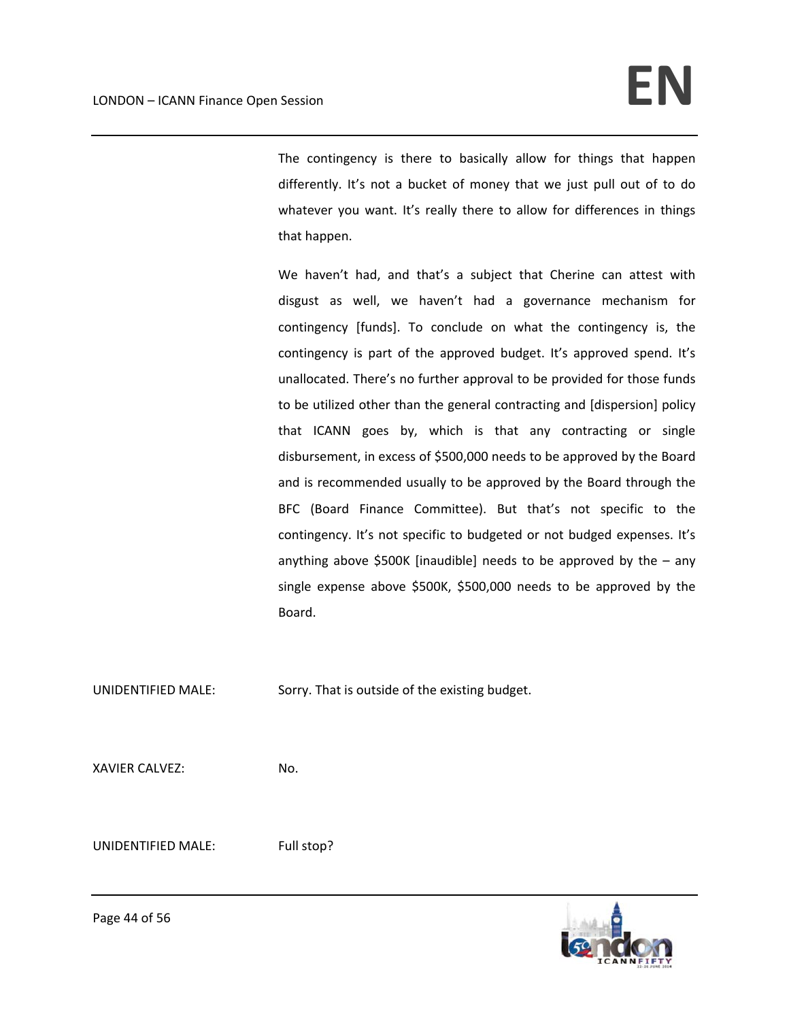The contingency is there to basically allow for things that happen differently. It's not a bucket of money that we just pull out of to do whatever you want. It's really there to allow for differences in things that happen.

We haven't had, and that's a subject that Cherine can attest with disgust as well, we haven't had a governance mechanism for contingency [funds]. To conclude on what the contingency is, the contingency is part of the approved budget. It's approved spend. It's unallocated. There's no further approval to be provided for those funds to be utilized other than the general contracting and [dispersion] policy that ICANN goes by, which is that any contracting or single disbursement, in excess of \$500,000 needs to be approved by the Board and is recommended usually to be approved by the Board through the BFC (Board Finance Committee). But that's not specific to the contingency. It's not specific to budgeted or not budged expenses. It's anything above \$500K [inaudible] needs to be approved by the  $-$  any single expense above \$500K, \$500,000 needs to be approved by the Board.

UNIDENTIFIED MALE: Sorry. That is outside of the existing budget.

XAVIER CALVEZ: No.

UNIDENTIFIED MALE: Full stop?



Page 44 of 56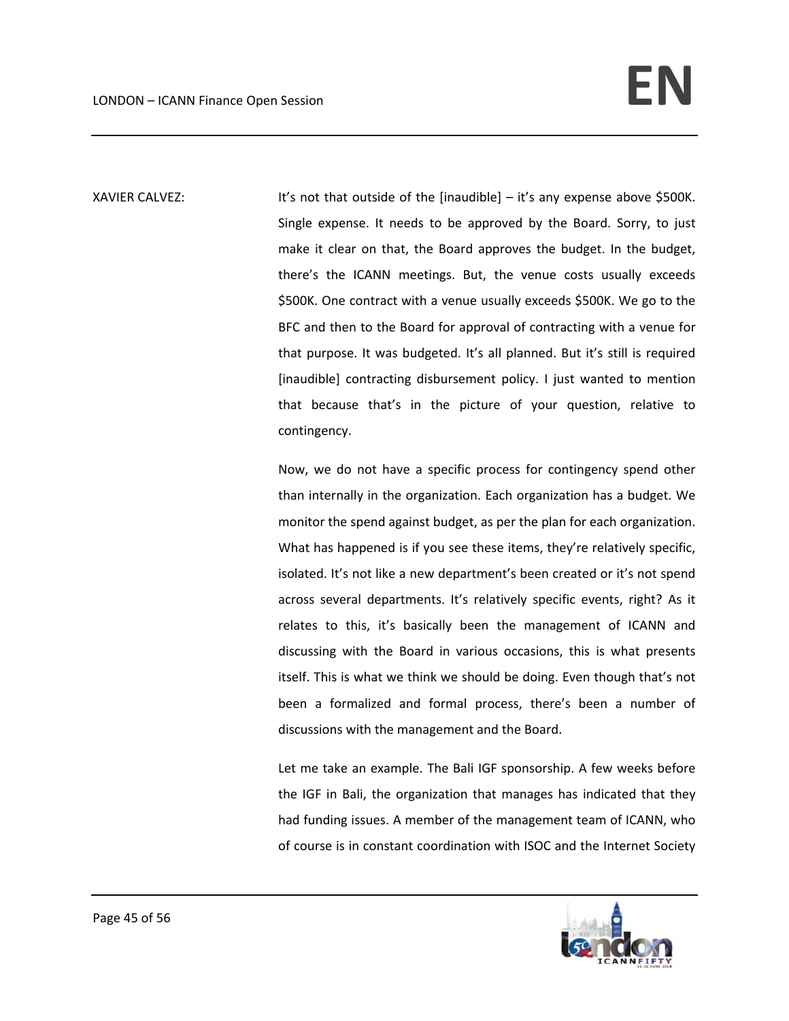XAVIER CALVEZ: It's not that outside of the [inaudible] – it's any expense above \$500K. Single expense. It needs to be approved by the Board. Sorry, to just make it clear on that, the Board approves the budget. In the budget, there's the ICANN meetings. But, the venue costs usually exceeds \$500K. One contract with a venue usually exceeds \$500K. We go to the BFC and then to the Board for approval of contracting with a venue for that purpose. It was budgeted. It's all planned. But it's still is required [inaudible] contracting disbursement policy. I just wanted to mention that because that's in the picture of your question, relative to contingency.

> Now, we do not have a specific process for contingency spend other than internally in the organization. Each organization has a budget. We monitor the spend against budget, as per the plan for each organization. What has happened is if you see these items, they're relatively specific, isolated. It's not like a new department's been created or it's not spend across several departments. It's relatively specific events, right? As it relates to this, it's basically been the management of ICANN and discussing with the Board in various occasions, this is what presents itself. This is what we think we should be doing. Even though that's not been a formalized and formal process, there's been a number of discussions with the management and the Board.

> Let me take an example. The Bali IGF sponsorship. A few weeks before the IGF in Bali, the organization that manages has indicated that they had funding issues. A member of the management team of ICANN, who of course is in constant coordination with ISOC and the Internet Society

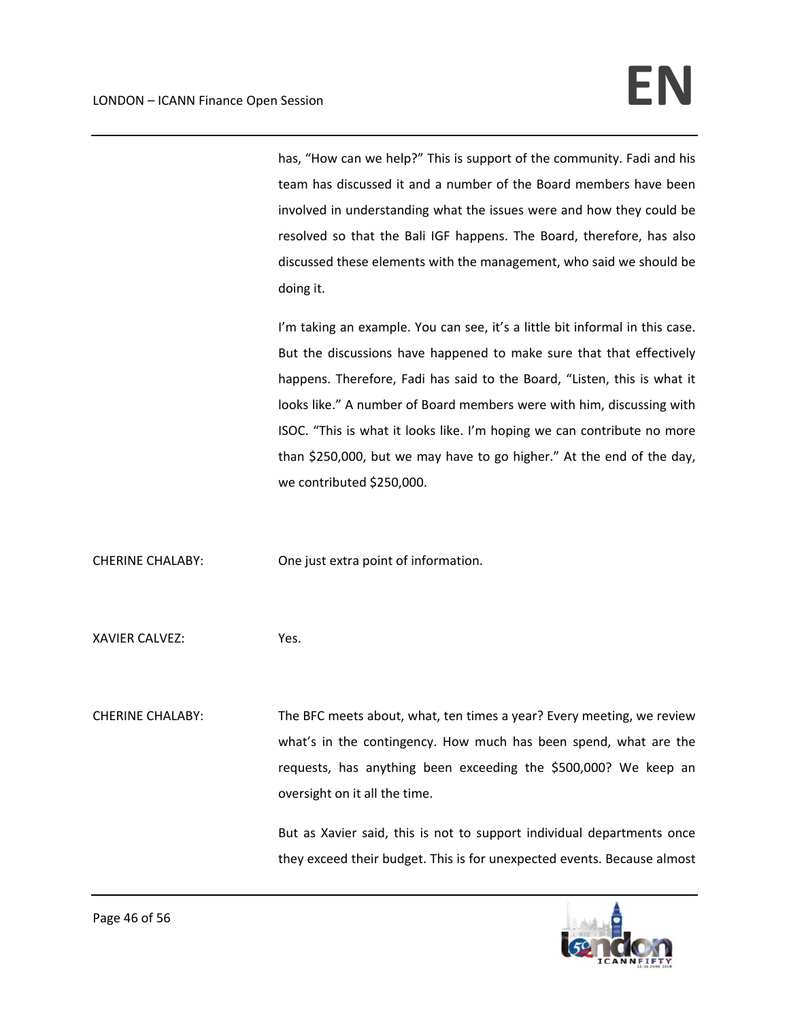has, "How can we help?" This is support of the community. Fadi and his team has discussed it and a number of the Board members have been involved in understanding what the issues were and how they could be resolved so that the Bali IGF happens. The Board, therefore, has also discussed these elements with the management, who said we should be doing it.

I'm taking an example. You can see, it's a little bit informal in this case. But the discussions have happened to make sure that that effectively happens. Therefore, Fadi has said to the Board, "Listen, this is what it looks like." A number of Board members were with him, discussing with ISOC. "This is what it looks like. I'm hoping we can contribute no more than \$250,000, but we may have to go higher." At the end of the day, we contributed \$250,000.

CHERINE CHALABY: One just extra point of information.

XAVIER CALVEZ: Yes.

CHERINE CHALABY: The BFC meets about, what, ten times a year? Every meeting, we review what's in the contingency. How much has been spend, what are the requests, has anything been exceeding the \$500,000? We keep an oversight on it all the time.

> But as Xavier said, this is not to support individual departments once they exceed their budget. This is for unexpected events. Because almost

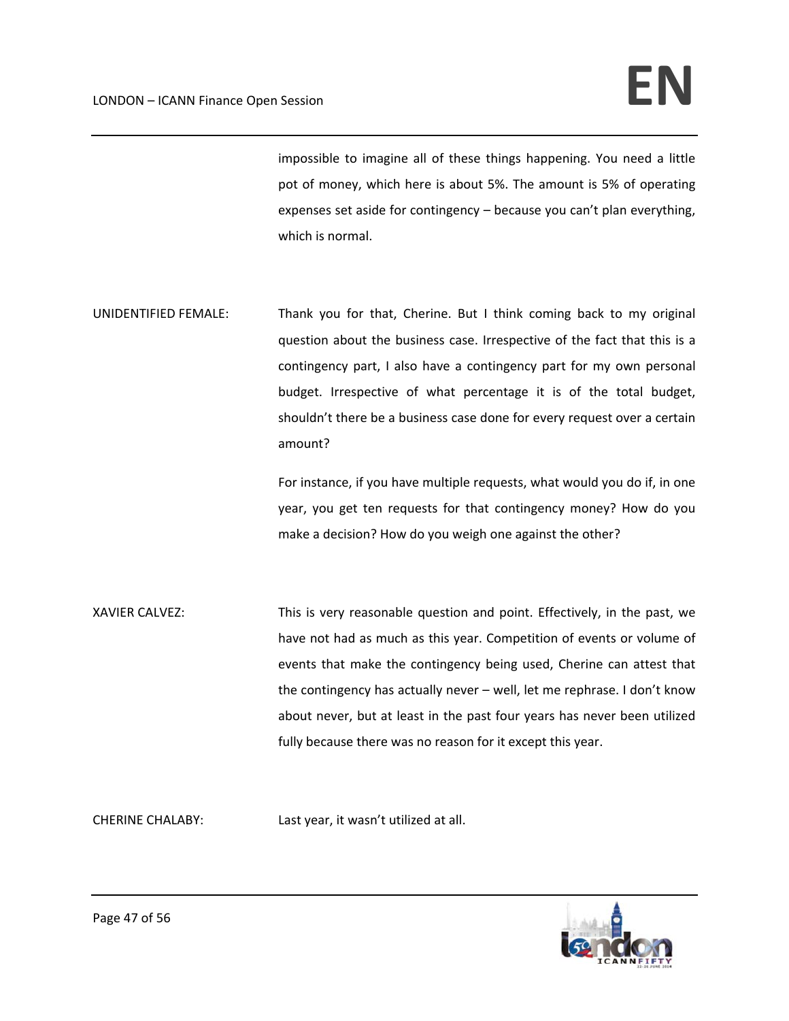impossible to imagine all of these things happening. You need a little pot of money, which here is about 5%. The amount is 5% of operating expenses set aside for contingency – because you can't plan everything, which is normal.

UNIDENTIFIED FEMALE: Thank you for that, Cherine. But I think coming back to my original question about the business case. Irrespective of the fact that this is a contingency part, I also have a contingency part for my own personal budget. Irrespective of what percentage it is of the total budget, shouldn't there be a business case done for every request over a certain amount?

> For instance, if you have multiple requests, what would you do if, in one year, you get ten requests for that contingency money? How do you make a decision? How do you weigh one against the other?

XAVIER CALVEZ: This is very reasonable question and point. Effectively, in the past, we have not had as much as this year. Competition of events or volume of events that make the contingency being used, Cherine can attest that the contingency has actually never – well, let me rephrase. I don't know about never, but at least in the past four years has never been utilized fully because there was no reason for it except this year.

CHERINE CHALABY: Last year, it wasn't utilized at all.

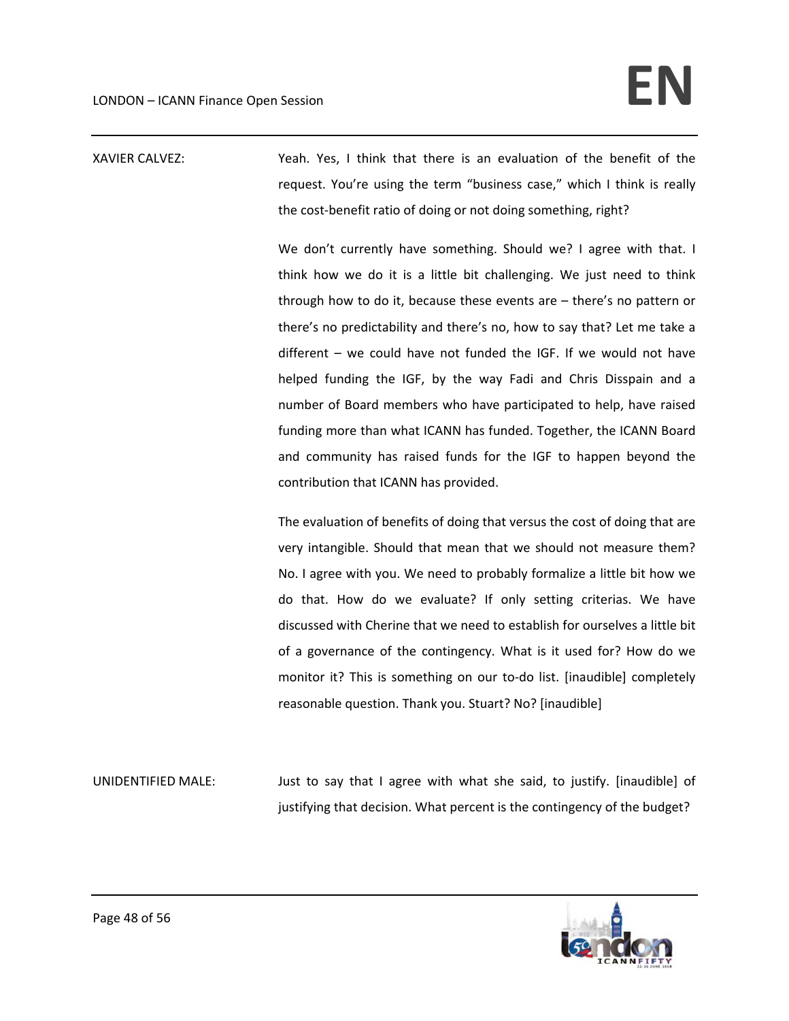XAVIER CALVEZ: Yeah. Yes, I think that there is an evaluation of the benefit of the request. You're using the term "business case," which I think is really the cost-benefit ratio of doing or not doing something, right?

> We don't currently have something. Should we? I agree with that. I think how we do it is a little bit challenging. We just need to think through how to do it, because these events are – there's no pattern or there's no predictability and there's no, how to say that? Let me take a different – we could have not funded the IGF. If we would not have helped funding the IGF, by the way Fadi and Chris Disspain and a number of Board members who have participated to help, have raised funding more than what ICANN has funded. Together, the ICANN Board and community has raised funds for the IGF to happen beyond the contribution that ICANN has provided.

> The evaluation of benefits of doing that versus the cost of doing that are very intangible. Should that mean that we should not measure them? No. I agree with you. We need to probably formalize a little bit how we do that. How do we evaluate? If only setting criterias. We have discussed with Cherine that we need to establish for ourselves a little bit of a governance of the contingency. What is it used for? How do we monitor it? This is something on our to-do list. [inaudible] completely reasonable question. Thank you. Stuart? No? [inaudible]

UNIDENTIFIED MALE: Just to say that I agree with what she said, to justify. [inaudible] of justifying that decision. What percent is the contingency of the budget?

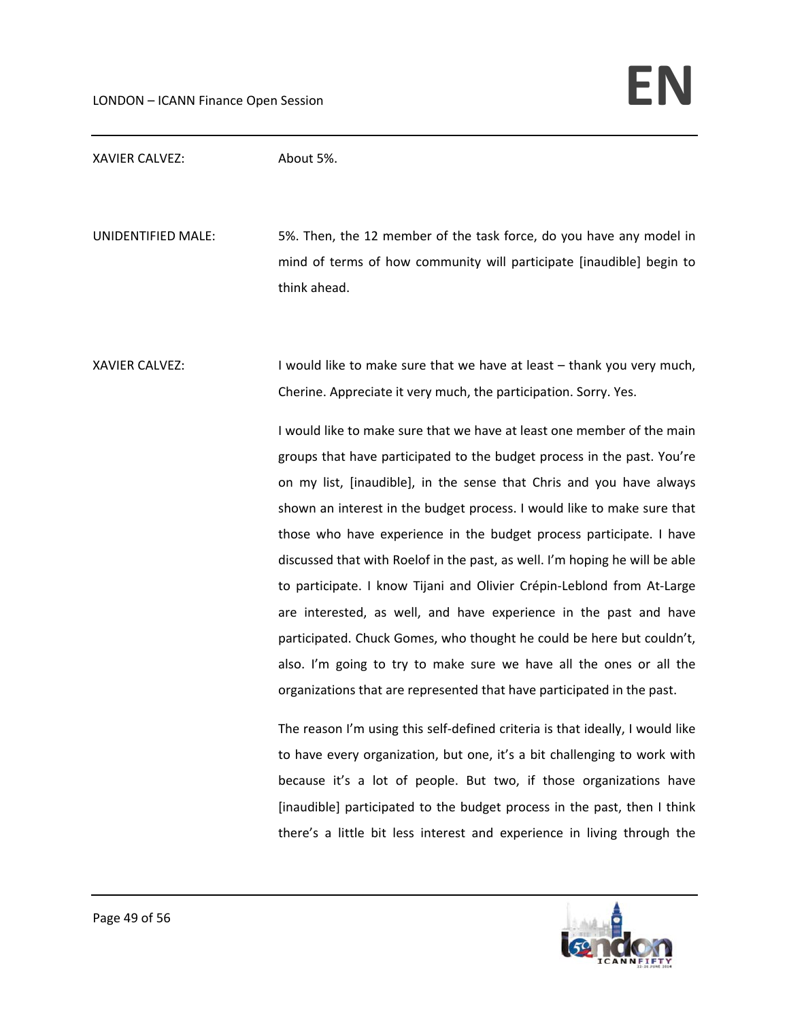XAVIER CALVEZ: About 5%. UNIDENTIFIED MALE: 5%. Then, the 12 member of the task force, do you have any model in mind of terms of how community will participate [inaudible] begin to think ahead. XAVIER CALVEZ: I would like to make sure that we have at least – thank you very much, Cherine. Appreciate it very much, the participation. Sorry. Yes. I would like to make sure that we have at least one member of the main groups that have participated to the budget process in the past. You're on my list, [inaudible], in the sense that Chris and you have always shown an interest in the budget process. I would like to make sure that those who have experience in the budget process participate. I have discussed that with Roelof in the past, as well. I'm hoping he will be able to participate. I know Tijani and Olivier Crépin‐Leblond from At‐Large are interested, as well, and have experience in the past and have participated. Chuck Gomes, who thought he could be here but couldn't, also. I'm going to try to make sure we have all the ones or all the organizations that are represented that have participated in the past. The reason I'm using this self‐defined criteria is that ideally, I would like to have every organization, but one, it's a bit challenging to work with because it's a lot of people. But two, if those organizations have [inaudible] participated to the budget process in the past, then I think there's a little bit less interest and experience in living through the

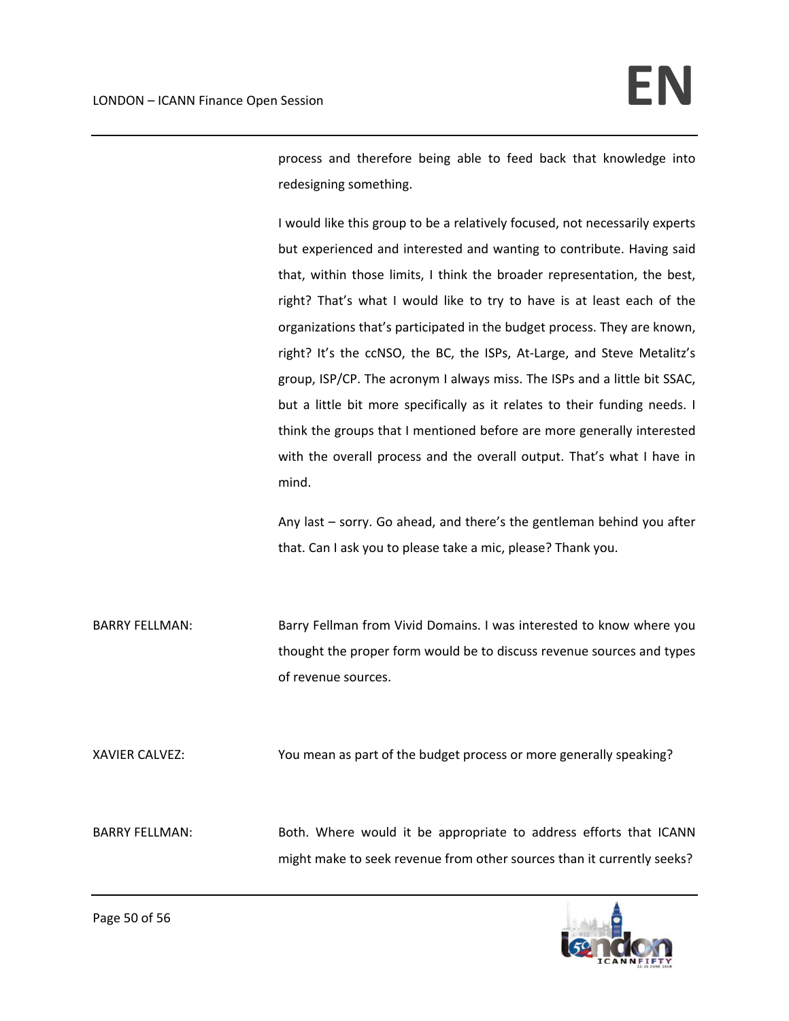process and therefore being able to feed back that knowledge into redesigning something.

I would like this group to be a relatively focused, not necessarily experts but experienced and interested and wanting to contribute. Having said that, within those limits, I think the broader representation, the best, right? That's what I would like to try to have is at least each of the organizations that's participated in the budget process. They are known, right? It's the ccNSO, the BC, the ISPs, At‐Large, and Steve Metalitz's group, ISP/CP. The acronym I always miss. The ISPs and a little bit SSAC, but a little bit more specifically as it relates to their funding needs. I think the groups that I mentioned before are more generally interested with the overall process and the overall output. That's what I have in mind.

Any last – sorry. Go ahead, and there's the gentleman behind you after that. Can I ask you to please take a mic, please? Thank you.

BARRY FELLMAN: Barry Fellman from Vivid Domains. I was interested to know where you thought the proper form would be to discuss revenue sources and types of revenue sources.

XAVIER CALVEZ: You mean as part of the budget process or more generally speaking?

BARRY FELLMAN: Both. Where would it be appropriate to address efforts that ICANN might make to seek revenue from other sources than it currently seeks?

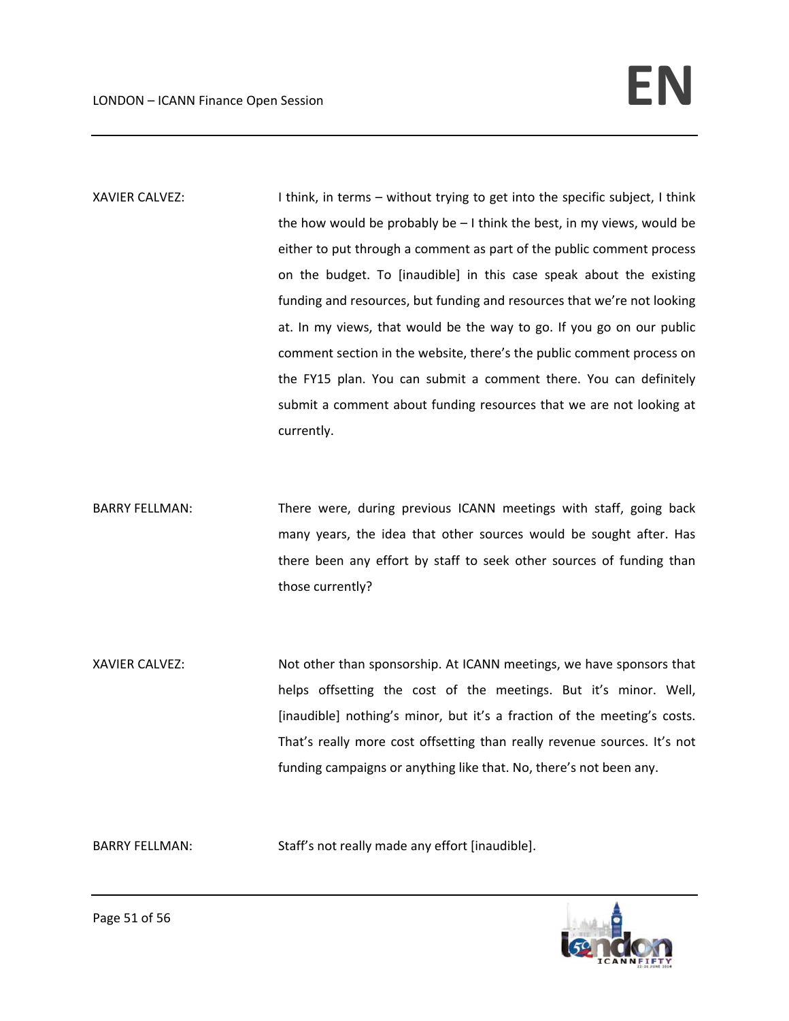XAVIER CALVEZ: I think, in terms – without trying to get into the specific subject, I think the how would be probably be  $-1$  think the best, in my views, would be either to put through a comment as part of the public comment process on the budget. To [inaudible] in this case speak about the existing funding and resources, but funding and resources that we're not looking at. In my views, that would be the way to go. If you go on our public comment section in the website, there's the public comment process on the FY15 plan. You can submit a comment there. You can definitely submit a comment about funding resources that we are not looking at currently.

BARRY FELLMAN: There were, during previous ICANN meetings with staff, going back many years, the idea that other sources would be sought after. Has there been any effort by staff to seek other sources of funding than those currently?

XAVIER CALVEZ: Not other than sponsorship. At ICANN meetings, we have sponsors that helps offsetting the cost of the meetings. But it's minor. Well, [inaudible] nothing's minor, but it's a fraction of the meeting's costs. That's really more cost offsetting than really revenue sources. It's not funding campaigns or anything like that. No, there's not been any.

BARRY FELLMAN: Staff's not really made any effort [inaudible].

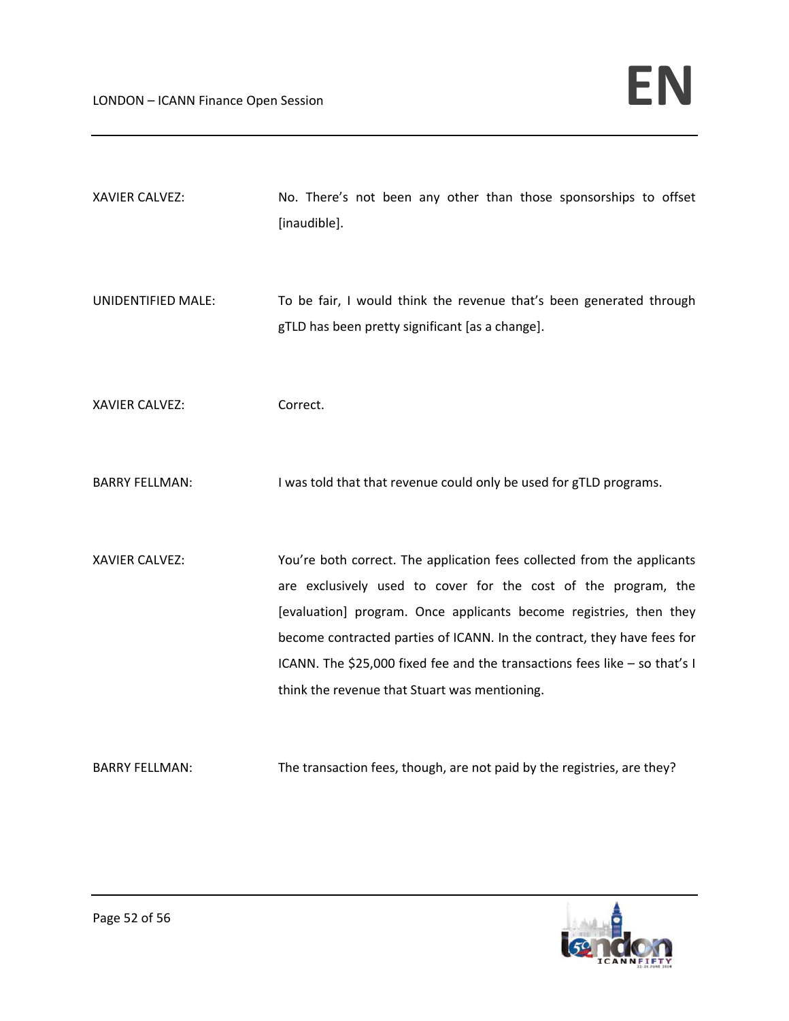XAVIER CALVEZ: No. There's not been any other than those sponsorships to offset [inaudible].

UNIDENTIFIED MALE: To be fair, I would think the revenue that's been generated through gTLD has been pretty significant [as a change].

XAVIER CALVEZ: Correct.

BARRY FELLMAN: I was told that that revenue could only be used for gTLD programs.

XAVIER CALVEZ: You're both correct. The application fees collected from the applicants are exclusively used to cover for the cost of the program, the [evaluation] program. Once applicants become registries, then they become contracted parties of ICANN. In the contract, they have fees for ICANN. The \$25,000 fixed fee and the transactions fees like – so that's I think the revenue that Stuart was mentioning.

BARRY FELLMAN: The transaction fees, though, are not paid by the registries, are they?

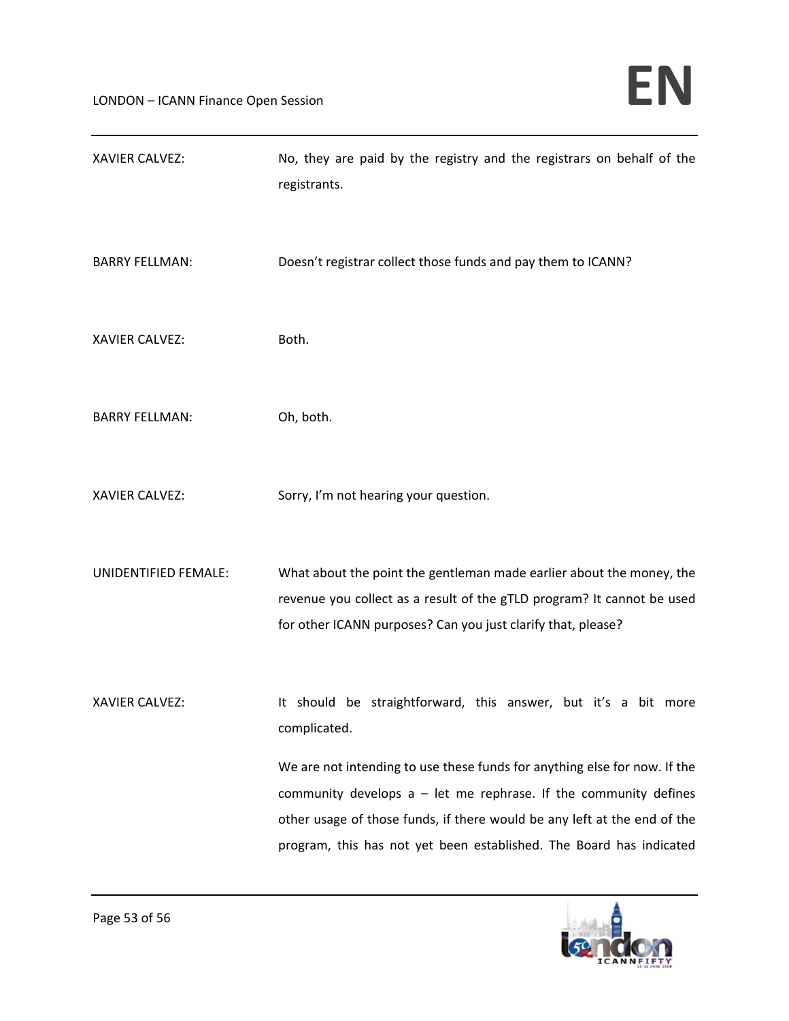| <b>XAVIER CALVEZ:</b> | No, they are paid by the registry and the registrars on behalf of the<br>registrants.                                                                                                                                                                                                                                                                                                |
|-----------------------|--------------------------------------------------------------------------------------------------------------------------------------------------------------------------------------------------------------------------------------------------------------------------------------------------------------------------------------------------------------------------------------|
| <b>BARRY FELLMAN:</b> | Doesn't registrar collect those funds and pay them to ICANN?                                                                                                                                                                                                                                                                                                                         |
| XAVIER CALVEZ:        | Both.                                                                                                                                                                                                                                                                                                                                                                                |
| <b>BARRY FELLMAN:</b> | Oh, both.                                                                                                                                                                                                                                                                                                                                                                            |
| <b>XAVIER CALVEZ:</b> | Sorry, I'm not hearing your question.                                                                                                                                                                                                                                                                                                                                                |
| UNIDENTIFIED FEMALE:  | What about the point the gentleman made earlier about the money, the<br>revenue you collect as a result of the gTLD program? It cannot be used<br>for other ICANN purposes? Can you just clarify that, please?                                                                                                                                                                       |
| <b>XAVIER CALVEZ:</b> | It should be straightforward, this answer, but it's a bit more<br>complicated.<br>We are not intending to use these funds for anything else for now. If the<br>community develops $a - let$ me rephrase. If the community defines<br>other usage of those funds, if there would be any left at the end of the<br>program, this has not yet been established. The Board has indicated |

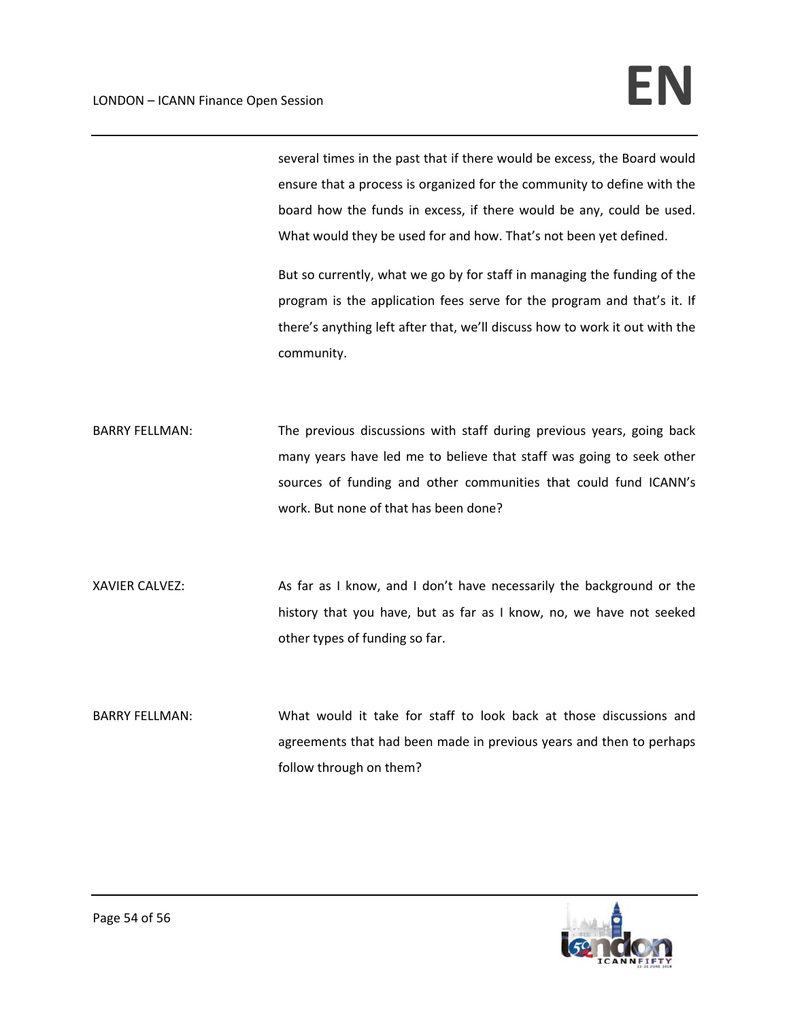several times in the past that if there would be excess, the Board would ensure that a process is organized for the community to define with the board how the funds in excess, if there would be any, could be used. What would they be used for and how. That's not been yet defined.

But so currently, what we go by for staff in managing the funding of the program is the application fees serve for the program and that's it. If there's anything left after that, we'll discuss how to work it out with the community.

BARRY FELLMAN: The previous discussions with staff during previous years, going back many years have led me to believe that staff was going to seek other sources of funding and other communities that could fund ICANN's work. But none of that has been done?

XAVIER CALVEZ: As far as I know, and I don't have necessarily the background or the history that you have, but as far as I know, no, we have not seeked other types of funding so far.

BARRY FELLMAN: What would it take for staff to look back at those discussions and agreements that had been made in previous years and then to perhaps follow through on them?

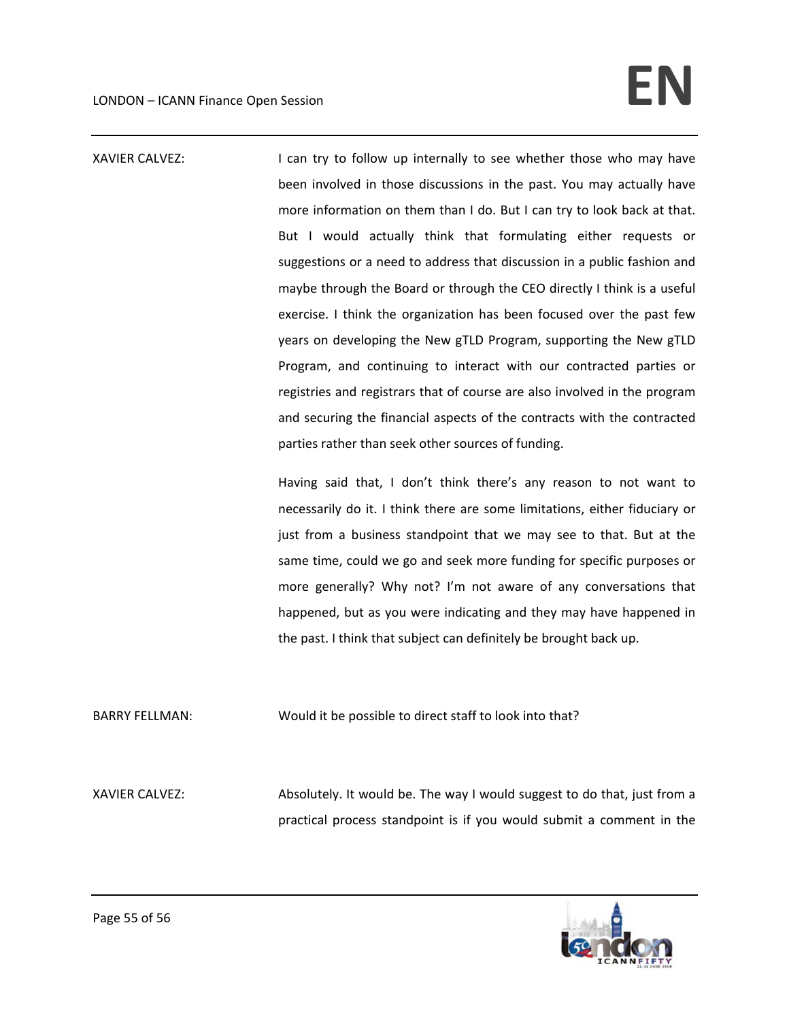## LONDON – ICANN Finance Open Session **EN**

XAVIER CALVEZ: I can try to follow up internally to see whether those who may have been involved in those discussions in the past. You may actually have more information on them than I do. But I can try to look back at that. But I would actually think that formulating either requests or suggestions or a need to address that discussion in a public fashion and maybe through the Board or through the CEO directly I think is a useful exercise. I think the organization has been focused over the past few years on developing the New gTLD Program, supporting the New gTLD Program, and continuing to interact with our contracted parties or registries and registrars that of course are also involved in the program and securing the financial aspects of the contracts with the contracted parties rather than seek other sources of funding. Having said that, I don't think there's any reason to not want to

necessarily do it. I think there are some limitations, either fiduciary or just from a business standpoint that we may see to that. But at the same time, could we go and seek more funding for specific purposes or more generally? Why not? I'm not aware of any conversations that happened, but as you were indicating and they may have happened in the past. I think that subject can definitely be brought back up.

BARRY FELLMAN: Would it be possible to direct staff to look into that?

XAVIER CALVEZ: Absolutely. It would be. The way I would suggest to do that, just from a practical process standpoint is if you would submit a comment in the